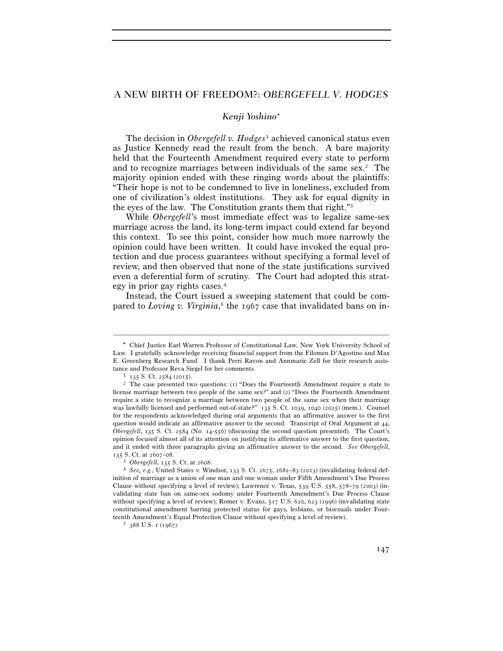# A NEW BIRTH OF FREEDOM?: *OBERGEFELL V. HODGES*

## *Kenji Yoshino*

The decision in *Obergefell v. Hodges*1 achieved canonical status even as Justice Kennedy read the result from the bench. A bare majority held that the Fourteenth Amendment required every state to perform and to recognize marriages between individuals of the same sex.2 The majority opinion ended with these ringing words about the plaintiffs: "Their hope is not to be condemned to live in loneliness, excluded from one of civilization's oldest institutions. They ask for equal dignity in the eyes of the law. The Constitution grants them that right."3

While *Obergefell*'s most immediate effect was to legalize same-sex marriage across the land, its long-term impact could extend far beyond this context. To see this point, consider how much more narrowly the opinion could have been written. It could have invoked the equal protection and due process guarantees without specifying a formal level of review, and then observed that none of the state justifications survived even a deferential form of scrutiny. The Court had adopted this strategy in prior gay rights cases.4

Instead, the Court issued a sweeping statement that could be compared to *Loving v. Virginia*,<sup>5</sup> the 1967 case that invalidated bans on in-

Chief Justice Earl Warren Professor of Constitutional Law, New York University School of Law. I gratefully acknowledge receiving financial support from the Filomen D'Agostino and Max E. Greenberg Research Fund. I thank Perri Ravon and Annmarie Zell for their research assistance and Professor Reva Siegel for her comments.<br>
<sup>1</sup> 135 S. Ct. 2584 (2015).<br>
<sup>2</sup> The case presented two questions: (1) "Does the Fourteenth Amendment require a state to

license marriage between two people of the same sex?" and (2) "Does the Fourteenth Amendment require a state to recognize a marriage between two people of the same sex when their marriage was lawfully licensed and performed out-of-state?" 135 S. Ct. 1039, 1040 (2015) (mem.). Counsel for the respondents acknowledged during oral arguments that an affirmative answer to the first question would indicate an affirmative answer to the second. Transcript of Oral Argument at 44, *Obergefell*, 135 S. Ct. 2584 (No. 14-556) (discussing the second question presented). The Court's opinion focused almost all of its attention on justifying its affirmative answer to the first question, and it ended with three paragraphs giving an affirmative answer to the second. *See Obergefell*,

<sup>135</sup> S. Ct. at 2607–08. 3 *Obergefell*, 135 S. Ct. at 2608. 4 *See, e.g.*, United States v. Windsor, 133 S. Ct. 2675, 2682–83 (2013) (invalidating federal definition of marriage as a union of one man and one woman under Fifth Amendment's Due Process Clause without specifying a level of review); Lawrence v. Texas,  $539$  U.S.  $558$ ,  $578-79$  (2003) (invalidating state ban on same-sex sodomy under Fourteenth Amendment's Due Process Clause without specifying a level of review); Romer v. Evans, 517 U.S. 620, 623 (1996) (invalidating state constitutional amendment barring protected status for gays, lesbians, or bisexuals under Fourteenth Amendment's Equal Protection Clause without specifying a level of review). 5 388 U.S. 1 (1967).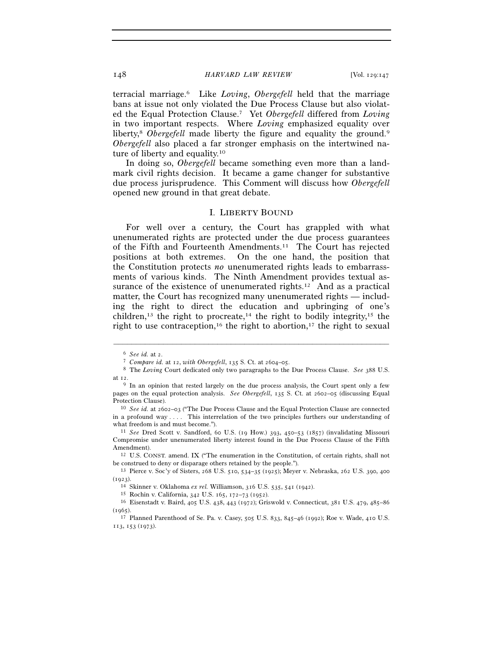terracial marriage.6 Like *Loving*, *Obergefell* held that the marriage bans at issue not only violated the Due Process Clause but also violated the Equal Protection Clause.7 Yet *Obergefell* differed from *Loving* in two important respects. Where *Loving* emphasized equality over liberty,<sup>8</sup> *Obergefell* made liberty the figure and equality the ground.<sup>9</sup> *Obergefell* also placed a far stronger emphasis on the intertwined nature of liberty and equality.10

In doing so, *Obergefell* became something even more than a landmark civil rights decision. It became a game changer for substantive due process jurisprudence. This Comment will discuss how *Obergefell* opened new ground in that great debate.

### I. LIBERTY BOUND

For well over a century, the Court has grappled with what unenumerated rights are protected under the due process guarantees of the Fifth and Fourteenth Amendments.11 The Court has rejected positions at both extremes. On the one hand, the position that the Constitution protects *no* unenumerated rights leads to embarrassments of various kinds. The Ninth Amendment provides textual assurance of the existence of unenumerated rights.<sup>12</sup> And as a practical matter, the Court has recognized many unenumerated rights — including the right to direct the education and upbringing of one's children,<sup>13</sup> the right to procreate,<sup>14</sup> the right to bodily integrity,<sup>15</sup> the right to use contraception,<sup>16</sup> the right to abortion,<sup>17</sup> the right to sexual

<sup>6</sup> *See id.* at 2. 7 *Compare id.* at 12, *with Obergefell*, 135 S. Ct. at 2604–05. 8 The *Loving* Court dedicated only two paragraphs to the Due Process Clause. *See* <sup>388</sup> U.S. at 12.

<sup>&</sup>lt;sup>9</sup> In an opinion that rested largely on the due process analysis, the Court spent only a few pages on the equal protection analysis. *See Obergefell*, 135 S. Ct. at 2602–05 (discussing Equal Protection Clause). 10 *See id.* at 2602–03 ("The Due Process Clause and the Equal Protection Clause are connected

in a profound way . . . . This interrelation of the two principles furthers our understanding of

what freedom is and must become."). 11 *See* Dred Scott v. Sandford, 60 U.S. (19 How.) 393, 450–53 (1857) (invalidating Missouri Compromise under unenumerated liberty interest found in the Due Process Clause of the Fifth Amendment).<br><sup>12</sup> U.S. CONST. amend. IX ("The enumeration in the Constitution, of certain rights, shall not

be construed to deny or disparage others retained by the people."). 13 Pierce v. Soc'y of Sisters, 268 U.S. 510, 534–35 (1925); Meyer v. Nebraska, 262 U.S. 390, 400

<sup>(1923).&</sup>lt;br><sup>14</sup> Skinner v. Oklahoma *ex rel*. Williamson, 316 U.S. 535, 541 (1942).<br><sup>15</sup> Rochin v. California, 342 U.S. 165, 172–73 (1952).<br><sup>16</sup> Eisenstadt v. Baird, 405 U.S. 438, 443 (1972); Griswold v. Connecticut, 381 U.S. (1965). 17 Planned Parenthood of Se. Pa. v. Casey, 505 U.S. 833, 845–46 (1992); Roe v. Wade, 410 U.S.

<sup>113</sup>, 153 (1973).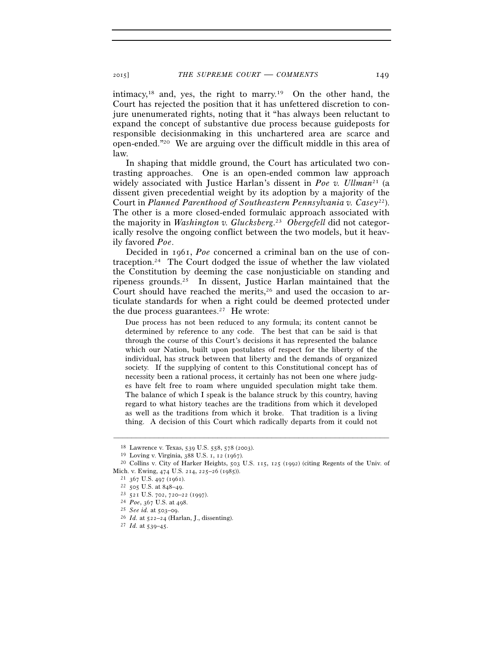intimacy,18 and, yes, the right to marry.19 On the other hand, the Court has rejected the position that it has unfettered discretion to conjure unenumerated rights, noting that it "has always been reluctant to expand the concept of substantive due process because guideposts for responsible decisionmaking in this unchartered area are scarce and open-ended."20 We are arguing over the difficult middle in this area of law.

In shaping that middle ground, the Court has articulated two contrasting approaches. One is an open-ended common law approach widely associated with Justice Harlan's dissent in *Poe v. Ullman*<sup>21</sup> (a dissent given precedential weight by its adoption by a majority of the Court in *Planned Parenthood of Southeastern Pennsylvania v. Casey*22). The other is a more closed-ended formulaic approach associated with the majority in *Washington v. Glucksberg*. 23 *Obergefell* did not categorically resolve the ongoing conflict between the two models, but it heavily favored *Poe*.

Decided in 1961, *Poe* concerned a criminal ban on the use of contraception.24 The Court dodged the issue of whether the law violated the Constitution by deeming the case nonjusticiable on standing and ripeness grounds.25 In dissent, Justice Harlan maintained that the Court should have reached the merits,<sup>26</sup> and used the occasion to articulate standards for when a right could be deemed protected under the due process guarantees.27 He wrote:

Due process has not been reduced to any formula; its content cannot be determined by reference to any code. The best that can be said is that through the course of this Court's decisions it has represented the balance which our Nation, built upon postulates of respect for the liberty of the individual, has struck between that liberty and the demands of organized society. If the supplying of content to this Constitutional concept has of necessity been a rational process, it certainly has not been one where judges have felt free to roam where unguided speculation might take them. The balance of which I speak is the balance struck by this country, having regard to what history teaches are the traditions from which it developed as well as the traditions from which it broke. That tradition is a living thing. A decision of this Court which radically departs from it could not

<sup>&</sup>lt;sup>18</sup> Lawrence v. Texas, 539 U.S. 558, 578 (2003).<br><sup>19</sup> Loving v. Virginia, 388 U.S. 1, 12 (1967).<br><sup>20</sup> Collins v. City of Harker Heights, 503 U.S. 115, 125 (1992) (citing Regents of the Univ. of Mich. v. Ewing, 474 U.S. 2

<sup>21 367</sup> U.S. 497 (1961).<br>
22 505 U.S. at 848–49.<br>
23 521 U.S. 702, 720–22 (1997).<br>
24 Poe, 367 U.S. at 498.<br>
25 *See id.* at 503–09.<br>
26 Id. at 522–24 (Harlan, J., dissenting).<br>
27 Id. at 539–45.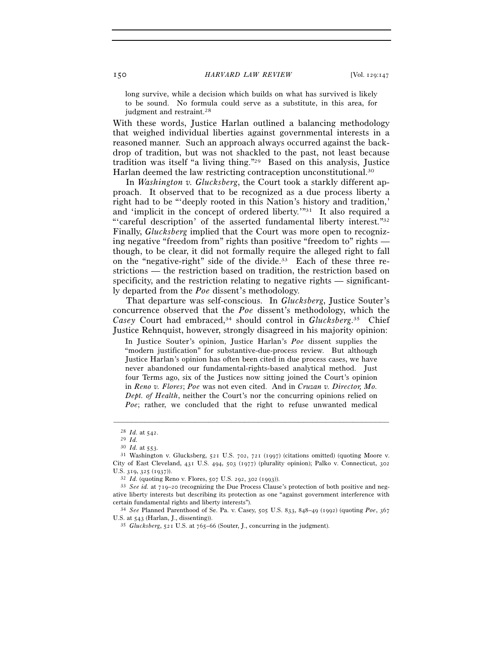long survive, while a decision which builds on what has survived is likely to be sound. No formula could serve as a substitute, in this area, for judgment and restraint.<sup>28</sup>

With these words, Justice Harlan outlined a balancing methodology that weighed individual liberties against governmental interests in a reasoned manner. Such an approach always occurred against the backdrop of tradition, but was not shackled to the past, not least because tradition was itself "a living thing."29 Based on this analysis, Justice Harlan deemed the law restricting contraception unconstitutional.30

In *Washington v. Glucksberg*, the Court took a starkly different approach. It observed that to be recognized as a due process liberty a right had to be "'deeply rooted in this Nation's history and tradition,' and 'implicit in the concept of ordered liberty.'"31 It also required a "'careful description' of the asserted fundamental liberty interest."32 Finally, *Glucksberg* implied that the Court was more open to recognizing negative "freedom from" rights than positive "freedom to" rights though, to be clear, it did not formally require the alleged right to fall on the "negative-right" side of the divide.33 Each of these three restrictions — the restriction based on tradition, the restriction based on specificity, and the restriction relating to negative rights — significantly departed from the *Poe* dissent's methodology.

That departure was self-conscious. In *Glucksberg*, Justice Souter's concurrence observed that the *Poe* dissent's methodology, which the *Casey* Court had embraced,34 should control in *Glucksberg*. 35 Chief Justice Rehnquist, however, strongly disagreed in his majority opinion:

In Justice Souter's opinion, Justice Harlan's *Poe* dissent supplies the "modern justification" for substantive-due-process review. But although Justice Harlan's opinion has often been cited in due process cases, we have never abandoned our fundamental-rights-based analytical method. Just four Terms ago, six of the Justices now sitting joined the Court's opinion in *Reno v. Flores*; *Poe* was not even cited. And in *Cruzan v. Director, Mo. Dept. of Health*, neither the Court's nor the concurring opinions relied on *Poe*; rather, we concluded that the right to refuse unwanted medical

<sup>28</sup> *Id.* at 542. 29 *Id.* 

<sup>&</sup>lt;sup>31</sup> Washington v. Glucksberg, 521 U.S. 702, 721 (1997) (citations omitted) (quoting Moore v. City of East Cleveland, 431 U.S. 494, 503 (1977) (plurality opinion); Palko v. Connecticut, 302 U.S. 319, 325 (1937)).<br><sup>32</sup> *Id.* (quoting Reno v. Flores, 507 U.S. 292, 302 (1993)).<br><sup>33</sup> *See id.* at 719–20 (recognizing the Due Process Clause's protection of both positive and neg-

ative liberty interests but describing its protection as one "against government interference with certain fundamental rights and liberty interests"). 34 *See* Planned Parenthood of Se. Pa. v. Casey, 505 U.S. 833, 848–49 (1992) (quoting *Poe*, <sup>367</sup>

U.S. at 543 (Harlan, J., dissenting)). 35 *Glucksberg*, 521 U.S. at 765–66 (Souter, J., concurring in the judgment).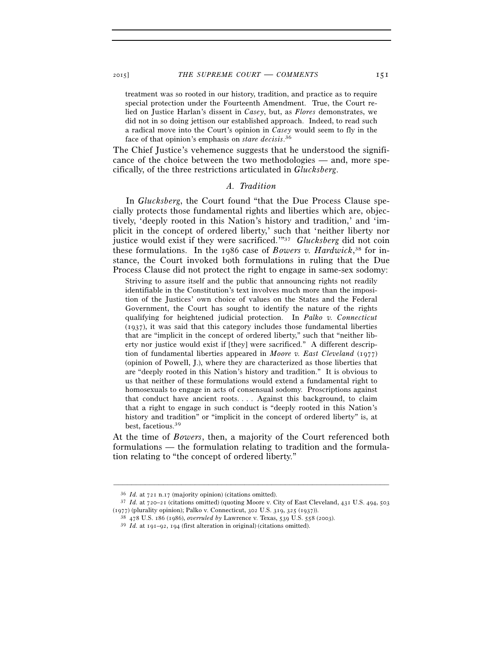treatment was so rooted in our history, tradition, and practice as to require special protection under the Fourteenth Amendment. True, the Court relied on Justice Harlan's dissent in *Casey*, but, as *Flores* demonstrates, we did not in so doing jettison our established approach. Indeed, to read such a radical move into the Court's opinion in *Casey* would seem to fly in the face of that opinion's emphasis on *stare decisis*. 36

The Chief Justice's vehemence suggests that he understood the significance of the choice between the two methodologies — and, more specifically, of the three restrictions articulated in *Glucksberg*.

#### *A. Tradition*

In *Glucksberg*, the Court found "that the Due Process Clause specially protects those fundamental rights and liberties which are, objectively, 'deeply rooted in this Nation's history and tradition,' and 'implicit in the concept of ordered liberty,' such that 'neither liberty nor justice would exist if they were sacrificed.'"37 *Glucksberg* did not coin these formulations. In the 1986 case of *Bowers v. Hardwick*, 38 for instance, the Court invoked both formulations in ruling that the Due Process Clause did not protect the right to engage in same-sex sodomy:

Striving to assure itself and the public that announcing rights not readily identifiable in the Constitution's text involves much more than the imposition of the Justices' own choice of values on the States and the Federal Government, the Court has sought to identify the nature of the rights qualifying for heightened judicial protection. In *Palko v. Connecticut* (1937), it was said that this category includes those fundamental liberties that are "implicit in the concept of ordered liberty," such that "neither liberty nor justice would exist if [they] were sacrificed." A different description of fundamental liberties appeared in *Moore v. East Cleveland* (1977) (opinion of Powell, J.), where they are characterized as those liberties that are "deeply rooted in this Nation's history and tradition." It is obvious to us that neither of these formulations would extend a fundamental right to homosexuals to engage in acts of consensual sodomy. Proscriptions against that conduct have ancient roots. . . . Against this background, to claim that a right to engage in such conduct is "deeply rooted in this Nation's history and tradition" or "implicit in the concept of ordered liberty" is, at best, facetious.39

At the time of *Bowers*, then, a majority of the Court referenced both formulations — the formulation relating to tradition and the formulation relating to "the concept of ordered liberty."

<sup>&</sup>lt;sup>36</sup> *Id.* at 721 n.17 (majority opinion) (citations omitted).<br><sup>37</sup> *Id.* at 720–21 (citations omitted) (quoting Moore v. City of East Cleveland, 431 U.S. 494, 503<br>(1977) (plurality opinion); Palko v. Connecticut, 302 U.S.

<sup>&</sup>lt;sup>38</sup> 478 U.S. 186 (1986), overruled by Lawrence v. Texas, 539 U.S. 558 (2003).<br><sup>39</sup> Id. at 191–92, 194 (first alteration in original) (citations omitted).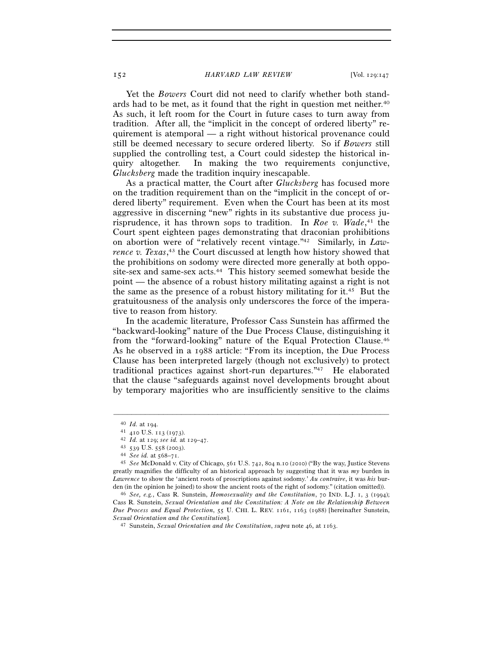Yet the *Bowers* Court did not need to clarify whether both standards had to be met, as it found that the right in question met neither.40 As such, it left room for the Court in future cases to turn away from tradition. After all, the "implicit in the concept of ordered liberty" requirement is atemporal — a right without historical provenance could still be deemed necessary to secure ordered liberty. So if *Bowers* still supplied the controlling test, a Court could sidestep the historical inquiry altogether. In making the two requirements conjunctive, *Glucksberg* made the tradition inquiry inescapable.

As a practical matter, the Court after *Glucksberg* has focused more on the tradition requirement than on the "implicit in the concept of ordered liberty" requirement. Even when the Court has been at its most aggressive in discerning "new" rights in its substantive due process jurisprudence, it has thrown sops to tradition. In *Roe v. Wade*, 41 the Court spent eighteen pages demonstrating that draconian prohibitions on abortion were of "relatively recent vintage."42 Similarly, in *Lawrence v. Texas*, 43 the Court discussed at length how history showed that the prohibitions on sodomy were directed more generally at both opposite-sex and same-sex acts.<sup>44</sup> This history seemed somewhat beside the point — the absence of a robust history militating against a right is not the same as the presence of a robust history militating for it.45 But the gratuitousness of the analysis only underscores the force of the imperative to reason from history.

In the academic literature, Professor Cass Sunstein has affirmed the "backward-looking" nature of the Due Process Clause, distinguishing it from the "forward-looking" nature of the Equal Protection Clause.46 As he observed in a 1988 article: "From its inception, the Due Process Clause has been interpreted largely (though not exclusively) to protect traditional practices against short-run departures."47 He elaborated that the clause "safeguards against novel developments brought about by temporary majorities who are insufficiently sensitive to the claims

<sup>40</sup> *Id.* at 194.<br>
41 410 U.S. 113 (1973).<br>
42 *Id.* at 129; *see id.* at 129–47.<br>
43 539 U.S. 558 (2003).<br>
44 *See id.* at 568–71.<br>
45 *See* McDonald v. City of Chicago, 561 U.S. 742, 804 n.10 (2010) ("By the way, Justice greatly magnifies the difficulty of an historical approach by suggesting that it was *my* burden in *Lawrence* to show the 'ancient roots of proscriptions against sodomy.' *Au contraire*, it was *his* burden (in the opinion he joined) to show the ancient roots of the right of sodomy." (citation omitted)). 46 *See, e.g.*, Cass R. Sunstein, *Homosexuality and the Constitution*, 70 IND. L.J. <sup>1</sup>, 3 (1994);

Cass R. Sunstein, *Sexual Orientation and the Constitution: A Note on the Relationship Between Due Process and Equal Protection*, 55 U. CHI. L. REV. 1161, 1163 (1988) [hereinafter Sunstein, *Sexual Orientation and the Constitution*]. 47 Sunstein, *Sexual Orientation and the Constitution*, *supra* note 46, at 1163.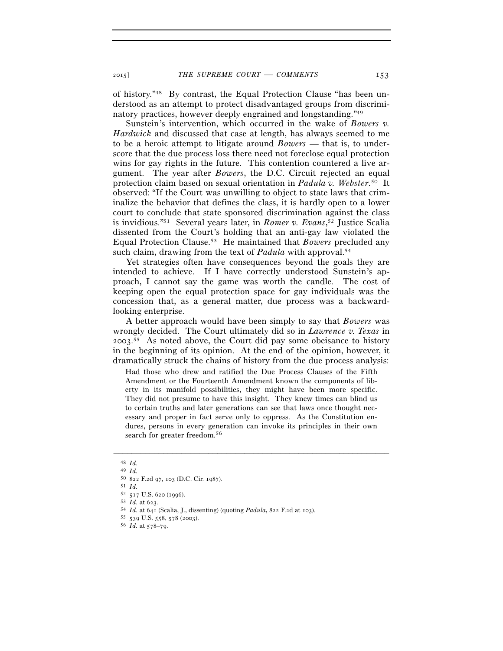of history."48 By contrast, the Equal Protection Clause "has been understood as an attempt to protect disadvantaged groups from discriminatory practices, however deeply engrained and longstanding."49

Sunstein's intervention, which occurred in the wake of *Bowers v. Hardwick* and discussed that case at length, has always seemed to me to be a heroic attempt to litigate around *Bowers* — that is, to underscore that the due process loss there need not foreclose equal protection wins for gay rights in the future. This contention countered a live argument. The year after *Bowers*, the D.C. Circuit rejected an equal protection claim based on sexual orientation in *Padula v. Webster*.50 It observed: "If the Court was unwilling to object to state laws that criminalize the behavior that defines the class, it is hardly open to a lower court to conclude that state sponsored discrimination against the class is invidious."51 Several years later, in *Romer v. Evans*, 52 Justice Scalia dissented from the Court's holding that an anti-gay law violated the Equal Protection Clause.53 He maintained that *Bowers* precluded any such claim, drawing from the text of *Padula* with approval.<sup>54</sup>

Yet strategies often have consequences beyond the goals they are intended to achieve. If I have correctly understood Sunstein's approach, I cannot say the game was worth the candle. The cost of keeping open the equal protection space for gay individuals was the concession that, as a general matter, due process was a backwardlooking enterprise.

A better approach would have been simply to say that *Bowers* was wrongly decided. The Court ultimately did so in *Lawrence v. Texas* in 2003. 55 As noted above, the Court did pay some obeisance to history in the beginning of its opinion. At the end of the opinion, however, it dramatically struck the chains of history from the due process analysis:

Had those who drew and ratified the Due Process Clauses of the Fifth Amendment or the Fourteenth Amendment known the components of liberty in its manifold possibilities, they might have been more specific. They did not presume to have this insight. They knew times can blind us to certain truths and later generations can see that laws once thought necessary and proper in fact serve only to oppress. As the Constitution endures, persons in every generation can invoke its principles in their own search for greater freedom.<sup>56</sup>

<sup>48</sup> *Id.*<sup>49</sup> *Id.*<sup>50</sup> <sup>822</sup> F.2d 97, 103 (D.C. Cir. 1987). 51 *Id.*

<sup>52</sup> <sup>517</sup> U.S. 620 (1996). 53 *Id.* at 623. 54 *Id.* at 641 (Scalia, J., dissenting) (quoting *Padula*, 822 F.2d at 103). 55 <sup>539</sup> U.S. 558, 578 (2003). 56 *Id.* at 578–79.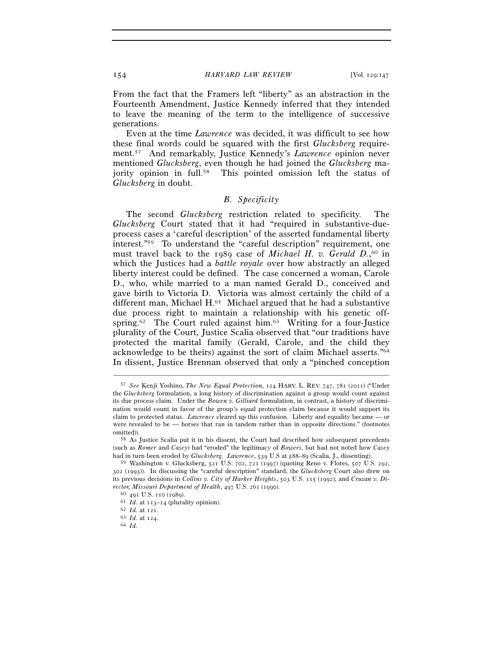From the fact that the Framers left "liberty" as an abstraction in the Fourteenth Amendment, Justice Kennedy inferred that they intended to leave the meaning of the term to the intelligence of successive generations.

Even at the time *Lawrence* was decided, it was difficult to see how these final words could be squared with the first *Glucksberg* requirement.57 And remarkably, Justice Kennedy's *Lawrence* opinion never mentioned *Glucksberg*, even though he had joined the *Glucksberg* majority opinion in full.58 This pointed omission left the status of *Glucksberg* in doubt.

# *B. Specificity*

The second *Glucksberg* restriction related to specificity. The *Glucksberg* Court stated that it had "required in substantive-dueprocess cases a 'careful description' of the asserted fundamental liberty interest."59 To understand the "careful description" requirement, one must travel back to the 1989 case of *Michael H. v. Gerald D.*,<sup>60</sup> in which the Justices had a *battle royale* over how abstractly an alleged liberty interest could be defined. The case concerned a woman, Carole D., who, while married to a man named Gerald D., conceived and gave birth to Victoria D. Victoria was almost certainly the child of a different man, Michael H.<sup>61</sup> Michael argued that he had a substantive due process right to maintain a relationship with his genetic offspring.<sup>62</sup> The Court ruled against him.<sup>63</sup> Writing for a four-Justice plurality of the Court, Justice Scalia observed that "our traditions have protected the marital family (Gerald, Carole, and the child they acknowledge to be theirs) against the sort of claim Michael asserts."64 In dissent, Justice Brennan observed that only a "pinched conception

<sup>57</sup> *See* Kenji Yoshino, *The New Equal Protection*, 124 HARV. L. REV. 747, 781 (2011) ("Under the *Glucksberg* formulation, a long history of discrimination against a group would count against its due process claim. Under the *Bowen v. Gilliard* formulation, in contrast, a history of discrimination would count in favor of the group's equal protection claim because it would support its claim to protected status. *Lawrence* cleared up this confusion. Liberty and equality became — or were revealed to be — horses that ran in tandem rather than in opposite directions." (footnotes omitted)).<br><sup>58</sup> As Justice Scalia put it in his dissent, the Court had described how subsequent precedents

<sup>(</sup>such as *Romer* and *Casey*) had "eroded" the legitimacy of *Bowers*, but had not noted how *Casey* had in turn been eroded by *Glucksberg*. *Lawrence*, 539 U.S at 588–89 (Scalia, J., dissenting).

<sup>59</sup> Washington v. Glucksberg, 521 U.S. 702, 721 (1997) (quoting Reno v. Flores, 507 U.S. 292, 302 (1993)). In discussing the "careful description" standard, the *Glucksberg* Court also drew on its previous decisions in *Collins v. City of Harker Heights*, 503 U.S. 115 (1992); and *Cruzan v. Director, Missouri Department of Health*, 497 U.S. 261 (1990).<br>
<sup>60</sup> 491 U.S. 110 (1989).<br>
<sup>61</sup> *Id.* at 113–14 (plurality opinion).<br>
<sup>62</sup> *Id.* at 121.<br>
<sup>63</sup> *Id.* at 124.<br>
<sup>64</sup> *Id.*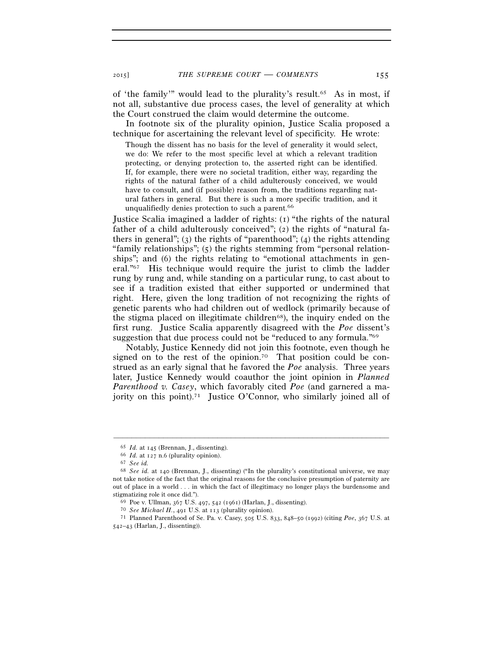2015] *THE SUPREME COURT* — *COMMENTS* 155

of 'the family'" would lead to the plurality's result.65 As in most, if not all, substantive due process cases, the level of generality at which the Court construed the claim would determine the outcome.

In footnote six of the plurality opinion, Justice Scalia proposed a technique for ascertaining the relevant level of specificity. He wrote:

Though the dissent has no basis for the level of generality it would select, we do: We refer to the most specific level at which a relevant tradition protecting, or denying protection to, the asserted right can be identified. If, for example, there were no societal tradition, either way, regarding the rights of the natural father of a child adulterously conceived, we would have to consult, and (if possible) reason from, the traditions regarding natural fathers in general. But there is such a more specific tradition, and it unqualifiedly denies protection to such a parent.<sup>66</sup>

Justice Scalia imagined a ladder of rights: (1) "the rights of the natural father of a child adulterously conceived"; (2) the rights of "natural fathers in general"; (3) the rights of "parenthood"; (4) the rights attending "family relationships"; (5) the rights stemming from "personal relationships"; and (6) the rights relating to "emotional attachments in general."67 His technique would require the jurist to climb the ladder rung by rung and, while standing on a particular rung, to cast about to see if a tradition existed that either supported or undermined that right. Here, given the long tradition of not recognizing the rights of genetic parents who had children out of wedlock (primarily because of the stigma placed on illegitimate children<sup>68</sup>), the inquiry ended on the first rung. Justice Scalia apparently disagreed with the *Poe* dissent's suggestion that due process could not be "reduced to any formula."69

Notably, Justice Kennedy did not join this footnote, even though he signed on to the rest of the opinion.<sup>70</sup> That position could be construed as an early signal that he favored the *Poe* analysis. Three years later, Justice Kennedy would coauthor the joint opinion in *Planned Parenthood v. Casey*, which favorably cited *Poe* (and garnered a majority on this point).<sup>71</sup> Justice O'Connor, who similarly joined all of

<sup>65</sup> *Id.* at 145 (Brennan, J., dissenting). 66 *Id.* at 127 n.6 (plurality opinion). 67 *See id.*<sup>68</sup> *See id.* at 140 (Brennan, J., dissenting) ("In the plurality's constitutional universe, we may not take notice of the fact that the original reasons for the conclusive presumption of paternity are out of place in a world . . . in which the fact of illegitimacy no longer plays the burdensome and stigmatizing role it once did.").<br>
<sup>69</sup> Poe v. Ullman, 367 U.S. 497, 542 (1961) (Harlan, J., dissenting).<br>
<sup>70</sup> See Michael H., 491 U.S. at 113 (plurality opinion).<br>
<sup>71</sup> Planned Parenthood of Se. Pa. v. Casey, 505 U.S. 8

<sup>542–43</sup> (Harlan, J., dissenting)).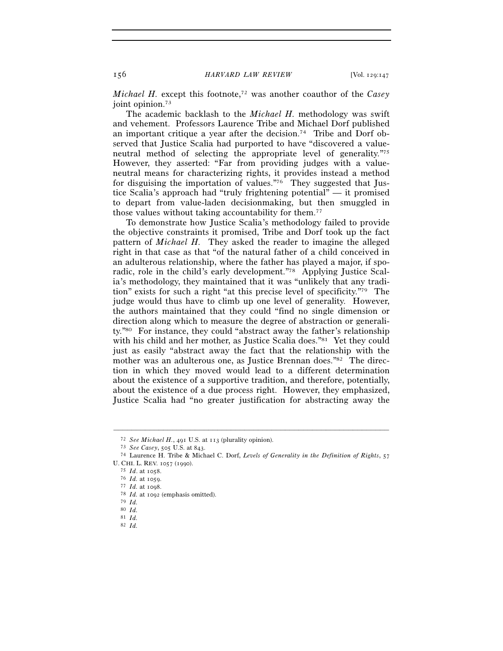*Michael H.* except this footnote,72 was another coauthor of the *Casey* joint opinion.<sup>73</sup>

The academic backlash to the *Michael H.* methodology was swift and vehement. Professors Laurence Tribe and Michael Dorf published an important critique a year after the decision.74 Tribe and Dorf observed that Justice Scalia had purported to have "discovered a valueneutral method of selecting the appropriate level of generality."75 However, they asserted: "Far from providing judges with a valueneutral means for characterizing rights, it provides instead a method for disguising the importation of values."76 They suggested that Justice Scalia's approach had "truly frightening potential" — it promised to depart from value-laden decisionmaking, but then smuggled in those values without taking accountability for them.77

To demonstrate how Justice Scalia's methodology failed to provide the objective constraints it promised, Tribe and Dorf took up the fact pattern of *Michael H.* They asked the reader to imagine the alleged right in that case as that "of the natural father of a child conceived in an adulterous relationship, where the father has played a major, if sporadic, role in the child's early development."78 Applying Justice Scalia's methodology, they maintained that it was "unlikely that any tradition" exists for such a right "at this precise level of specificity."79 The judge would thus have to climb up one level of generality. However, the authors maintained that they could "find no single dimension or direction along which to measure the degree of abstraction or generality."80 For instance, they could "abstract away the father's relationship with his child and her mother, as Justice Scalia does."<sup>81</sup> Yet they could just as easily "abstract away the fact that the relationship with the mother was an adulterous one, as Justice Brennan does."82 The direction in which they moved would lead to a different determination about the existence of a supportive tradition, and therefore, potentially, about the existence of a due process right. However, they emphasized, Justice Scalia had "no greater justification for abstracting away the

<sup>72</sup> *See Michael H.*, 491 U.S. at 113 (plurality opinion). 73 *See Casey*, 505 U.S. at 843. 74 Laurence H. Tribe & Michael C. Dorf, *Levels of Generality in the Definition of Rights*, <sup>57</sup>

<sup>15</sup> *Id.* at 1058.<br>
16 *Id.* at 1059.<br>
17 *Id.* at 1098.<br>
78 *Id.* at 1092 (emphasis omitted).

<sup>79</sup> *Id.*

<sup>80</sup> *Id.*

<sup>81</sup> *Id.*

<sup>82</sup> *Id.*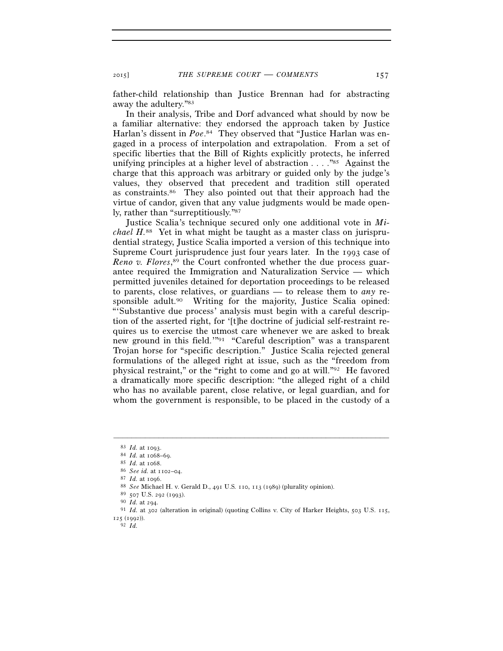2015] *THE SUPREME COURT* — *COMMENTS* 157

father-child relationship than Justice Brennan had for abstracting away the adultery."83

 In their analysis, Tribe and Dorf advanced what should by now be a familiar alternative: they endorsed the approach taken by Justice Harlan's dissent in Poe.<sup>84</sup> They observed that "Justice Harlan was engaged in a process of interpolation and extrapolation. From a set of specific liberties that the Bill of Rights explicitly protects, he inferred unifying principles at a higher level of abstraction  $\dots$ . "<sup>85</sup> Against the charge that this approach was arbitrary or guided only by the judge's values, they observed that precedent and tradition still operated as constraints.86 They also pointed out that their approach had the virtue of candor, given that any value judgments would be made openly, rather than "surreptitiously."87

Justice Scalia's technique secured only one additional vote in *Michael H.*88 Yet in what might be taught as a master class on jurisprudential strategy, Justice Scalia imported a version of this technique into Supreme Court jurisprudence just four years later. In the 1993 case of *Reno v. Flores*, 89 the Court confronted whether the due process guarantee required the Immigration and Naturalization Service — which permitted juveniles detained for deportation proceedings to be released to parents, close relatives, or guardians — to release them to *any* responsible adult.90 Writing for the majority, Justice Scalia opined: "'Substantive due process' analysis must begin with a careful description of the asserted right, for '[t]he doctrine of judicial self-restraint requires us to exercise the utmost care whenever we are asked to break new ground in this field.'"91 "Careful description" was a transparent Trojan horse for "specific description." Justice Scalia rejected general formulations of the alleged right at issue, such as the "freedom from physical restraint," or the "right to come and go at will."92 He favored a dramatically more specific description: "the alleged right of a child who has no available parent, close relative, or legal guardian, and for whom the government is responsible, to be placed in the custody of a

<sup>&</sup>lt;sup>83</sup> *Id.* at 1093.<br><sup>84</sup> *Id.* at 1068–69.<br><sup>85</sup> *Id.* at 1068.<br><sup>86</sup> *See id.* at 1102–04.<br><sup>87</sup> *Id.* at 1096.<br><sup>87</sup> *Id.* at 1096.<br><sup>89</sup> *See* Michael H. v. Gerald D., 491 U.S. 110, 113 (1989) (plurality opinion).<br><sup>89</sup> *Sor* 

<sup>125</sup> (1992)). 92 *Id.*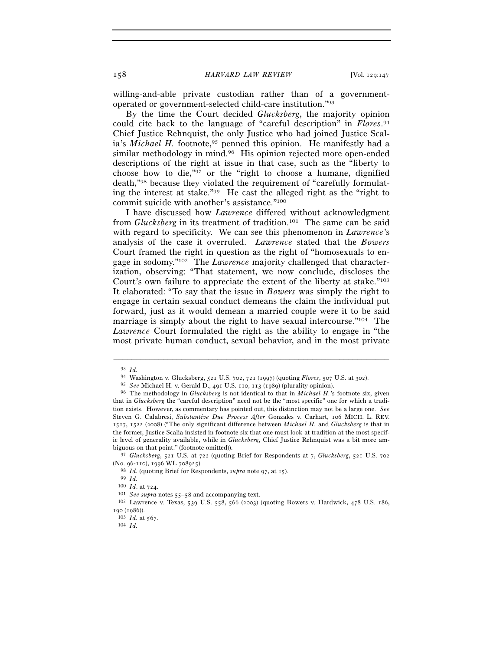willing-and-able private custodian rather than of a governmentoperated or government-selected child-care institution."93

 By the time the Court decided *Glucksberg*, the majority opinion could cite back to the language of "careful description" in *Flores*. 94 Chief Justice Rehnquist, the only Justice who had joined Justice Scalia's *Michael H.* footnote,<sup>95</sup> penned this opinion. He manifestly had a similar methodology in mind.<sup>96</sup> His opinion rejected more open-ended descriptions of the right at issue in that case, such as the "liberty to choose how to die,"97 or the "right to choose a humane, dignified death,"98 because they violated the requirement of "carefully formulating the interest at stake."99 He cast the alleged right as the "right to commit suicide with another's assistance."100

I have discussed how *Lawrence* differed without acknowledgment from *Glucksberg* in its treatment of tradition.101 The same can be said with regard to specificity. We can see this phenomenon in *Lawrence*'s analysis of the case it overruled. *Lawrence* stated that the *Bowers* Court framed the right in question as the right of "homosexuals to engage in sodomy."102 The *Lawrence* majority challenged that characterization, observing: "That statement, we now conclude, discloses the Court's own failure to appreciate the extent of the liberty at stake."103 It elaborated: "To say that the issue in *Bowers* was simply the right to engage in certain sexual conduct demeans the claim the individual put forward, just as it would demean a married couple were it to be said marriage is simply about the right to have sexual intercourse."104 The *Lawrence* Court formulated the right as the ability to engage in "the most private human conduct, sexual behavior, and in the most private

<sup>93</sup> *Id.* 

<sup>94</sup> Washington v. Glucksberg, 521 U.S. 702, 721 (1997) (quoting *Flores*, 507 U.S. at 302).

<sup>&</sup>lt;sup>96</sup> The methodology in *Glucksberg* is not identical to that in *Michael H*.'s footnote six, given that in *Glucksberg* the "careful description" need not be the "most specific" one for which a tradition exists. However, as commentary has pointed out, this distinction may not be a large one. *See* Steven G. Calabresi, *Substantive Due Process After* Gonzales v. Carhart, 106 MICH. L. REV. 1517, 1522 (2008) ("The only significant difference between *Michael H.* and *Glucksberg* is that in the former, Justice Scalia insisted in footnote six that one must look at tradition at the most specific level of generality available, while in *Glucksberg*, Chief Justice Rehnquist was a bit more ambiguous on that point." (footnote omitted)).

<sup>97</sup> *Glucksberg*, 521 U.S. at 722 (quoting Brief for Respondents at 7, *Glucksberg*, 521 U.S. 702 (No. 96-110), 1996 WL 708925).<br>
<sup>98</sup> *Id.* (quoting Brief for Respondents, *supra* note 97, at 15).<br>
<sup>99</sup> *Id.*<br>
<sup>100</sup> *Id.* at 724.<br>
<sup>101</sup> *See supra* notes 55–58 and accompanying text.<br>
<sup>101</sup> *See supra* notes 55–58 and

<sup>190</sup> (1986)). 103 *Id.* at 567. 104 *Id.*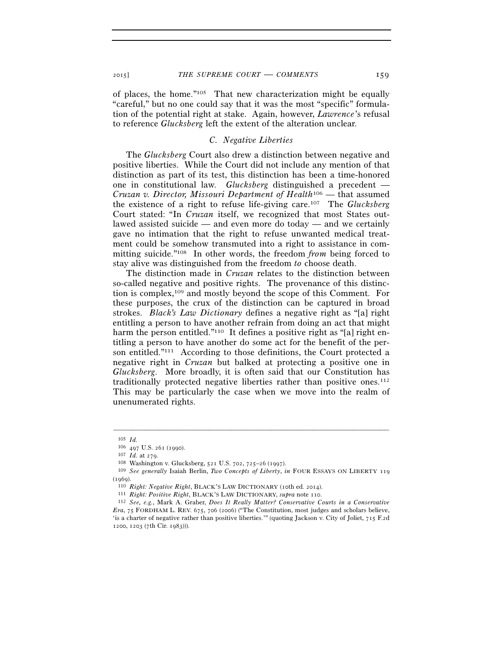of places, the home."105 That new characterization might be equally "careful," but no one could say that it was the most "specific" formulation of the potential right at stake. Again, however, *Lawrence*'s refusal to reference *Glucksberg* left the extent of the alteration unclear.

#### *C. Negative Liberties*

The *Glucksberg* Court also drew a distinction between negative and positive liberties. While the Court did not include any mention of that distinction as part of its test, this distinction has been a time-honored one in constitutional law. *Glucksberg* distinguished a precedent — *Cruzan v. Director, Missouri Department of Health*106 — that assumed the existence of a right to refuse life-giving care.107 The *Glucksberg* Court stated: "In *Cruzan* itself, we recognized that most States outlawed assisted suicide — and even more do today — and we certainly gave no intimation that the right to refuse unwanted medical treatment could be somehow transmuted into a right to assistance in committing suicide."108 In other words, the freedom *from* being forced to stay alive was distinguished from the freedom *to* choose death.

The distinction made in *Cruzan* relates to the distinction between so-called negative and positive rights. The provenance of this distinction is complex,109 and mostly beyond the scope of this Comment. For these purposes, the crux of the distinction can be captured in broad strokes. *Black's Law Dictionary* defines a negative right as "[a] right entitling a person to have another refrain from doing an act that might harm the person entitled."<sup>110</sup> It defines a positive right as "[a] right entitling a person to have another do some act for the benefit of the person entitled."111 According to those definitions, the Court protected a negative right in *Cruzan* but balked at protecting a positive one in *Glucksberg*. More broadly, it is often said that our Constitution has traditionally protected negative liberties rather than positive ones.112 This may be particularly the case when we move into the realm of unenumerated rights.

 $^{105}$   $\,$   $\!Id.$   $^{106}$   $\,$   $\!497$  U.S.  $26$   $\!$  (1990).

<sup>107</sup> *Id.* at 279.<br><sup>108</sup> Washington v. Glucksberg, 521 U.S. 702, 725–26 (1997).<br><sup>109</sup> *See generally* Isaiah Berlin, *Two Concepts of Liberty*, *in* FOUR ESSAYS ON LIBERTY 119

<sup>(1969).&</sup>lt;br><sup>110</sup> Right: Negative Right, BLACK'S LAW DICTIONARY (10th ed. 2014).<br><sup>111</sup> Right: Positive Right, BLACK'S LAW DICTIONARY, supra note 110.<br><sup>112</sup> See, e.g., Mark A. Graber, Does It Really Matter? Conservative Courts *Era*, 75 FORDHAM L. REV. 675, 706 (2006) ("The Constitution, most judges and scholars believe, 'is a charter of negative rather than positive liberties.'" (quoting Jackson v. City of Joliet, 715 F.2d 1200, 1203 (7th Cir. 1983))).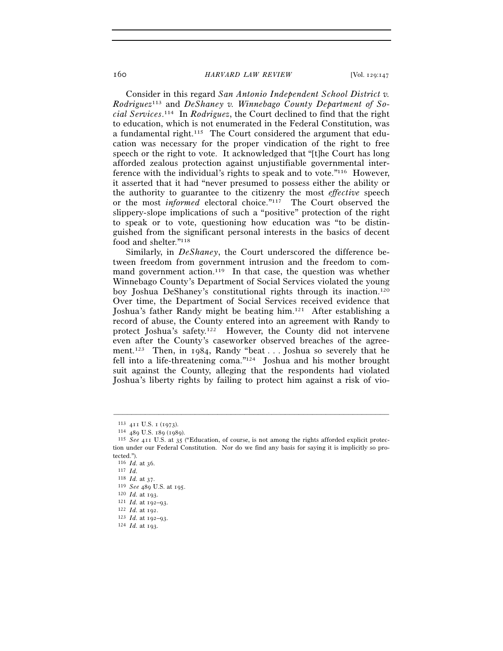Consider in this regard *San Antonio Independent School District v. Rodriguez*113 and *DeShaney v. Winnebago County Department of Social Services*. 114 In *Rodriguez*, the Court declined to find that the right to education, which is not enumerated in the Federal Constitution, was a fundamental right.115 The Court considered the argument that education was necessary for the proper vindication of the right to free speech or the right to vote. It acknowledged that "[t]he Court has long afforded zealous protection against unjustifiable governmental interference with the individual's rights to speak and to vote."116 However, it asserted that it had "never presumed to possess either the ability or the authority to guarantee to the citizenry the most *effective* speech or the most *informed* electoral choice."117 The Court observed the slippery-slope implications of such a "positive" protection of the right to speak or to vote, questioning how education was "to be distinguished from the significant personal interests in the basics of decent food and shelter."<sup>118</sup>

Similarly, in *DeShaney*, the Court underscored the difference between freedom from government intrusion and the freedom to command government action.<sup>119</sup> In that case, the question was whether Winnebago County's Department of Social Services violated the young boy Joshua DeShaney's constitutional rights through its inaction.120 Over time, the Department of Social Services received evidence that Joshua's father Randy might be beating him.121 After establishing a record of abuse, the County entered into an agreement with Randy to protect Joshua's safety.122 However, the County did not intervene even after the County's caseworker observed breaches of the agreement.123 Then, in 1984, Randy "beat . . . Joshua so severely that he fell into a life-threatening coma."124 Joshua and his mother brought suit against the County, alleging that the respondents had violated Joshua's liberty rights by failing to protect him against a risk of vio-

<sup>113</sup> <sup>411</sup> U.S. 1 (1973). 114 <sup>489</sup> U.S. 189 (1989). 115 *See* <sup>411</sup> U.S. at 35 ("Education, of course, is not among the rights afforded explicit protection under our Federal Constitution. Nor do we find any basis for saying it is implicitly so protected.").

<sup>116</sup> *Id.* at 36.<br>
117 *Id.*<br>
118 *Id.* at 37.

<sup>118</sup> *Id.* at 37. 119 *See* <sup>489</sup> U.S. at 195. 120 *Id.* at 193. 121 *Id.* at 192–93. 122 *Id.* at 192. 123 *Id.* at 192–93. 124 *Id.* at 193.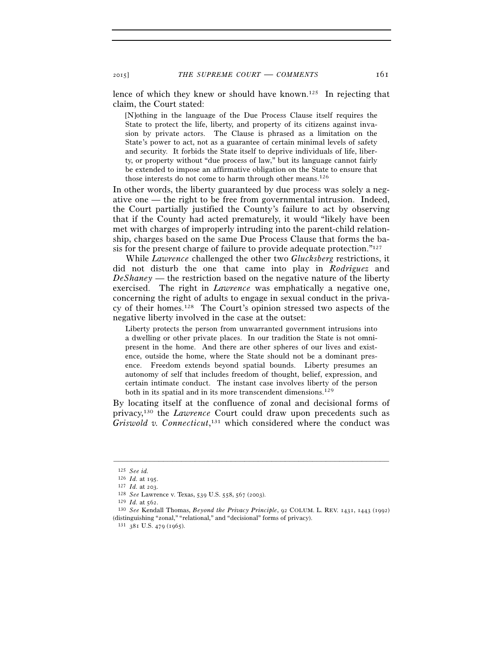lence of which they knew or should have known.125 In rejecting that claim, the Court stated:

[N]othing in the language of the Due Process Clause itself requires the State to protect the life, liberty, and property of its citizens against invasion by private actors. The Clause is phrased as a limitation on the State's power to act, not as a guarantee of certain minimal levels of safety and security. It forbids the State itself to deprive individuals of life, liberty, or property without "due process of law," but its language cannot fairly be extended to impose an affirmative obligation on the State to ensure that those interests do not come to harm through other means.<sup>126</sup>

In other words, the liberty guaranteed by due process was solely a negative one — the right to be free from governmental intrusion. Indeed, the Court partially justified the County's failure to act by observing that if the County had acted prematurely, it would "likely have been met with charges of improperly intruding into the parent-child relationship, charges based on the same Due Process Clause that forms the basis for the present charge of failure to provide adequate protection."127

While *Lawrence* challenged the other two *Glucksberg* restrictions, it did not disturb the one that came into play in *Rodriguez* and *DeShaney* — the restriction based on the negative nature of the liberty exercised. The right in *Lawrence* was emphatically a negative one, concerning the right of adults to engage in sexual conduct in the privacy of their homes.128 The Court's opinion stressed two aspects of the negative liberty involved in the case at the outset:

Liberty protects the person from unwarranted government intrusions into a dwelling or other private places. In our tradition the State is not omnipresent in the home. And there are other spheres of our lives and existence, outside the home, where the State should not be a dominant presence. Freedom extends beyond spatial bounds. Liberty presumes an autonomy of self that includes freedom of thought, belief, expression, and certain intimate conduct. The instant case involves liberty of the person both in its spatial and in its more transcendent dimensions.<sup>129</sup>

By locating itself at the confluence of zonal and decisional forms of privacy,130 the *Lawrence* Court could draw upon precedents such as *Griswold v. Connecticut*, 131 which considered where the conduct was

–––––––––––––––––––––––––––––––––––––––––––––––––––––––––––––

131 381 U.S. 479 (1965).

<sup>125</sup> *See id.*

<sup>&</sup>lt;sup>127</sup> *Id.* at 203.<br>
<sup>128</sup> *See* Lawrence v. Texas, 539 U.S. 558, 567 (2003).<br>
<sup>129</sup> *Id.* at 562.<br>
<sup>130</sup> *See* Kendall Thomas, *Beyond the Privacy Principle*, 92 COLUM. L. REV. 1431, 1443 (1992) (distinguishing "zonal," "relational," and "decisional" forms of privacy).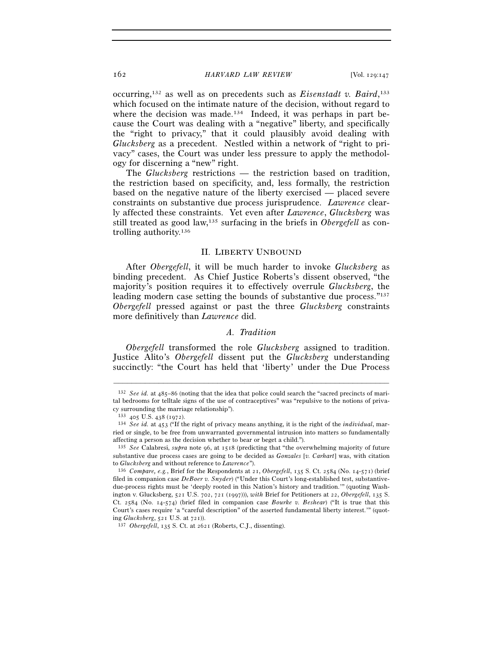occurring,132 as well as on precedents such as *Eisenstadt v. Baird*, 133 which focused on the intimate nature of the decision, without regard to where the decision was made.<sup>134</sup> Indeed, it was perhaps in part because the Court was dealing with a "negative" liberty, and specifically the "right to privacy," that it could plausibly avoid dealing with *Glucksberg* as a precedent. Nestled within a network of "right to privacy" cases, the Court was under less pressure to apply the methodology for discerning a "new" right.

The *Glucksberg* restrictions — the restriction based on tradition, the restriction based on specificity, and, less formally, the restriction based on the negative nature of the liberty exercised — placed severe constraints on substantive due process jurisprudence. *Lawrence* clearly affected these constraints. Yet even after *Lawrence*, *Glucksberg* was still treated as good law,135 surfacing in the briefs in *Obergefell* as controlling authority.136

#### II. LIBERTY UNBOUND

After *Obergefell*, it will be much harder to invoke *Glucksberg* as binding precedent. As Chief Justice Roberts's dissent observed, "the majority's position requires it to effectively overrule *Glucksberg*, the leading modern case setting the bounds of substantive due process."137 *Obergefell* pressed against or past the three *Glucksberg* constraints more definitively than *Lawrence* did.

# *A. Tradition*

*Obergefell* transformed the role *Glucksberg* assigned to tradition. Justice Alito's *Obergefell* dissent put the *Glucksberg* understanding succinctly: "the Court has held that 'liberty' under the Due Process

<sup>132</sup> *See id.* at 485–86 (noting that the idea that police could search the "sacred precincts of marital bedrooms for telltale signs of the use of contraceptives" was "repulsive to the notions of privacy surrounding the marriage relationship").

<sup>133</sup> <sup>405</sup> U.S. 438 (1972). 134 *See id.* at 453 ("If the right of privacy means anything, it is the right of the *individual*, married or single, to be free from unwarranted governmental intrusion into matters so fundamentally affecting a person as the decision whether to bear or beget a child.").

<sup>135</sup> *See* Calabresi, *supra* note 96, at 1518 (predicting that "the overwhelming majority of future substantive due process cases are going to be decided as *Gonzales* [*v. Carhart*] was, with citation to *Glucksberg* and without reference to *Lawrence*"). 136 *Compare, e.g.*, Brief for the Respondents at 21, *Obergefell*, 135 S. Ct. 2584 (No. 14-571) (brief

filed in companion case *DeBoer v. Snyder*) ("Under this Court's long-established test, substantivedue-process rights must be 'deeply rooted in this Nation's history and tradition.'" (quoting Washington v. Glucksberg, 521 U.S. 702, 721 (1997))), *with* Brief for Petitioners at 22, *Obergefell*, 135 S. Ct. 2584 (No. 14-574) (brief filed in companion case *Bourke v. Beshear*) ("It is true that this Court's cases require 'a "careful description" of the asserted fundamental liberty interest.'" (quoting *Glucksberg*, 521 U.S. at 721)). 137 *Obergefell*, 135 S. Ct. at 2621 (Roberts, C.J., dissenting).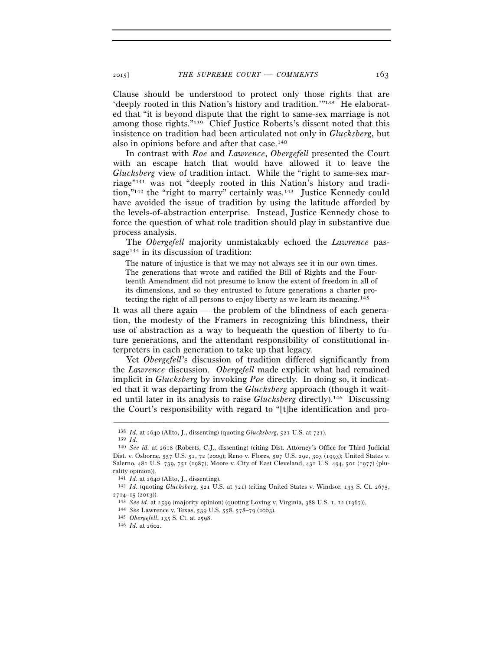Clause should be understood to protect only those rights that are 'deeply rooted in this Nation's history and tradition.'"138 He elaborated that "it is beyond dispute that the right to same-sex marriage is not among those rights."139 Chief Justice Roberts's dissent noted that this insistence on tradition had been articulated not only in *Glucksberg*, but also in opinions before and after that case.140

In contrast with *Roe* and *Lawrence*, *Obergefell* presented the Court with an escape hatch that would have allowed it to leave the *Glucksberg* view of tradition intact. While the "right to same-sex marriage"141 was not "deeply rooted in this Nation's history and tradition,"142 the "right to marry" certainly was.143 Justice Kennedy could have avoided the issue of tradition by using the latitude afforded by the levels-of-abstraction enterprise. Instead, Justice Kennedy chose to force the question of what role tradition should play in substantive due process analysis.

The *Obergefell* majority unmistakably echoed the *Lawrence* passage<sup>144</sup> in its discussion of tradition:

The nature of injustice is that we may not always see it in our own times. The generations that wrote and ratified the Bill of Rights and the Fourteenth Amendment did not presume to know the extent of freedom in all of its dimensions, and so they entrusted to future generations a charter protecting the right of all persons to enjoy liberty as we learn its meaning.145

It was all there again — the problem of the blindness of each generation, the modesty of the Framers in recognizing this blindness, their use of abstraction as a way to bequeath the question of liberty to future generations, and the attendant responsibility of constitutional interpreters in each generation to take up that legacy.

Yet *Obergefell*'s discussion of tradition differed significantly from the *Lawrence* discussion. *Obergefell* made explicit what had remained implicit in *Glucksberg* by invoking *Poe* directly. In doing so, it indicated that it was departing from the *Glucksberg* approach (though it waited until later in its analysis to raise *Glucksberg* directly).146 Discussing the Court's responsibility with regard to "[t]he identification and pro-

<sup>138</sup> *Id.* at 2640 (Alito, J., dissenting) (quoting *Glucksberg*, 521 U.S. at 721). 139 *Id.*

<sup>140</sup> *See id.* at 2618 (Roberts, C.J., dissenting) (citing Dist. Attorney's Office for Third Judicial Dist. v. Osborne, 557 U.S. 52, 72 (2009); Reno v. Flores, 507 U.S. 292, 303 (1993); United States v. Salerno, 481 U.S. 739, 751 (1987); Moore v. City of East Cleveland, 431 U.S. 494, 501 (1977) (plurality opinion)).<br>141  $Id$ . at 2640 (Alito, J., dissenting).

<sup>&</sup>lt;sup>142</sup> *Id.* (quoting *Glucksberg*, 521 U.S. at 721) (citing United States v. Windsor, 133 S. Ct. 2675, 2714–15 (2013)).<br>
<sup>143</sup> See id. at 2599 (majority opinion) (quoting Loving v. Virginia, 388 U.S. 1, 12 (1967)).<br>
<sup>144</sup> See Lawrence v. Texas, 539 U.S. 558, 578–79 (2003).<br>
<sup>145</sup> Obergefell, 135 S. Ct. at 2598.<br>
<sup>146</sup> Id.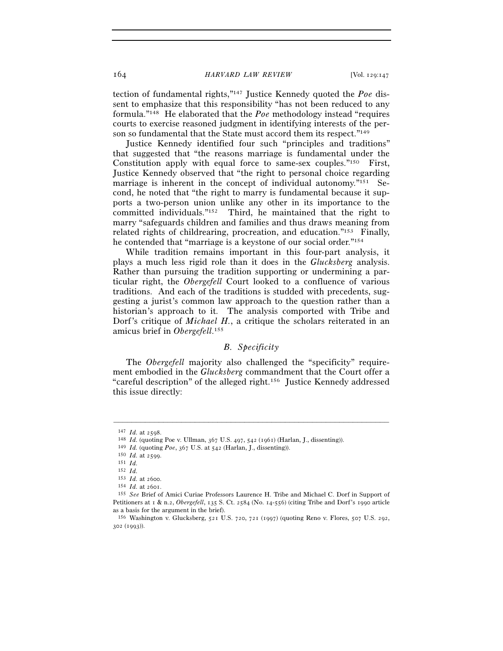tection of fundamental rights,"147 Justice Kennedy quoted the *Poe* dissent to emphasize that this responsibility "has not been reduced to any formula."148 He elaborated that the *Poe* methodology instead "requires courts to exercise reasoned judgment in identifying interests of the person so fundamental that the State must accord them its respect."<sup>149</sup>

Justice Kennedy identified four such "principles and traditions" that suggested that "the reasons marriage is fundamental under the Constitution apply with equal force to same-sex couples."150 First, Justice Kennedy observed that "the right to personal choice regarding marriage is inherent in the concept of individual autonomy."<sup>151</sup> Second, he noted that "the right to marry is fundamental because it supports a two-person union unlike any other in its importance to the committed individuals."152 Third, he maintained that the right to marry "safeguards children and families and thus draws meaning from related rights of childrearing, procreation, and education."153 Finally, he contended that "marriage is a keystone of our social order."154

While tradition remains important in this four-part analysis, it plays a much less rigid role than it does in the *Glucksberg* analysis. Rather than pursuing the tradition supporting or undermining a particular right, the *Obergefell* Court looked to a confluence of various traditions. And each of the traditions is studded with precedents, suggesting a jurist's common law approach to the question rather than a historian's approach to it. The analysis comported with Tribe and Dorf's critique of *Michael H.*, a critique the scholars reiterated in an amicus brief in *Obergefell*. 155

# *B. Specificity*

The *Obergefell* majority also challenged the "specificity" requirement embodied in the *Glucksberg* commandment that the Court offer a "careful description" of the alleged right.156 Justice Kennedy addressed this issue directly:

<sup>&</sup>lt;sup>147</sup> *Id.* at 2598.<br>
<sup>148</sup> *Id.* (quoting Poe v. Ullman, 367 U.S. 497, 542 (1961) (Harlan, J., dissenting)).<br>
<sup>149</sup> *Id.* (quoting *Poe*, 367 U.S. at 542 (Harlan, J., dissenting)).<br>
<sup>150</sup> *Id.* at 2599.<br>
<sup>151</sup> *Id* 

 $152$  *Id.*<br> $153$  *Id.* at 2600.

<sup>153</sup> *Id.* at 2600. 154 *Id.* at 2601. 155 *See* Brief of Amici Curiae Professors Laurence H. Tribe and Michael C. Dorf in Support of Petitioners at 1 & n.2, *Obergefell*, 135 S. Ct. 2584 (No. 14-556) (citing Tribe and Dorf's 1990 article as a basis for the argument in the brief).

<sup>156</sup> Washington v. Glucksberg, 521 U.S. 720, 721 (1997) (quoting Reno v. Flores, 507 U.S. 292, 302 (1993)).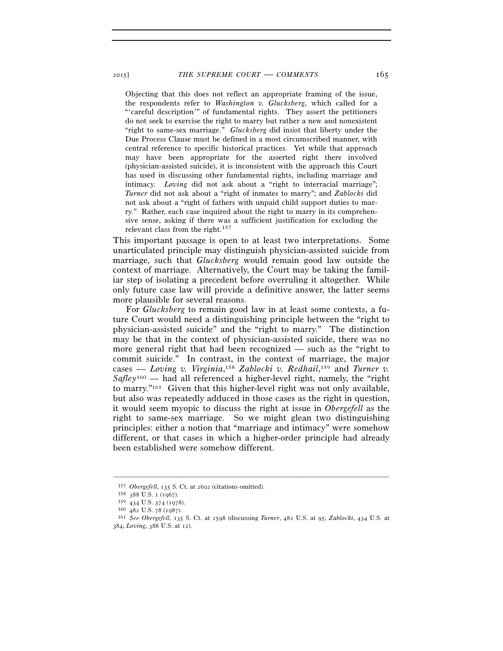Objecting that this does not reflect an appropriate framing of the issue, the respondents refer to *Washington v. Glucksberg*, which called for a "'careful description'" of fundamental rights. They assert the petitioners do not seek to exercise the right to marry but rather a new and nonexistent "right to same-sex marriage." *Glucksberg* did insist that liberty under the Due Process Clause must be defined in a most circumscribed manner, with central reference to specific historical practices. Yet while that approach may have been appropriate for the asserted right there involved (physician-assisted suicide), it is inconsistent with the approach this Court has used in discussing other fundamental rights, including marriage and intimacy. *Loving* did not ask about a "right to interracial marriage"; *Turner* did not ask about a "right of inmates to marry"; and *Zablocki* did not ask about a "right of fathers with unpaid child support duties to marry." Rather, each case inquired about the right to marry in its comprehensive sense, asking if there was a sufficient justification for excluding the relevant class from the right.157

This important passage is open to at least two interpretations. Some unarticulated principle may distinguish physician-assisted suicide from marriage, such that *Glucksberg* would remain good law outside the context of marriage. Alternatively, the Court may be taking the familiar step of isolating a precedent before overruling it altogether. While only future case law will provide a definitive answer, the latter seems more plausible for several reasons.

For *Glucksberg* to remain good law in at least some contexts, a future Court would need a distinguishing principle between the "right to physician-assisted suicide" and the "right to marry." The distinction may be that in the context of physician-assisted suicide, there was no more general right that had been recognized — such as the "right to commit suicide." In contrast, in the context of marriage, the major cases — Loving v. Virginia,<sup>158</sup> Zablocki v. Redhail,<sup>159</sup> and Turner v. *Safley*160 — had all referenced a higher-level right, namely, the "right to marry."161 Given that this higher-level right was not only available, but also was repeatedly adduced in those cases as the right in question, it would seem myopic to discuss the right at issue in *Obergefell* as the right to same-sex marriage. So we might glean two distinguishing principles: either a notion that "marriage and intimacy" were somehow different, or that cases in which a higher-order principle had already been established were somehow different.

<sup>157</sup> *Obergefell*, 135 S. Ct. at 2602 (citations omitted).<br>
158 388 U.S. 1 (1967).<br>
159 434 U.S. 374 (1978).

<sup>159</sup> <sup>434</sup> U.S. 374 (1978). 160 <sup>482</sup> U.S. 78 (1987). 161 *See Obergefell*, 135 S. Ct. at 2598 (discussing *Turner*, 482 U.S. at 95; *Zablocki*, 434 U.S. at 384; *Loving*, 388 U.S. at 12).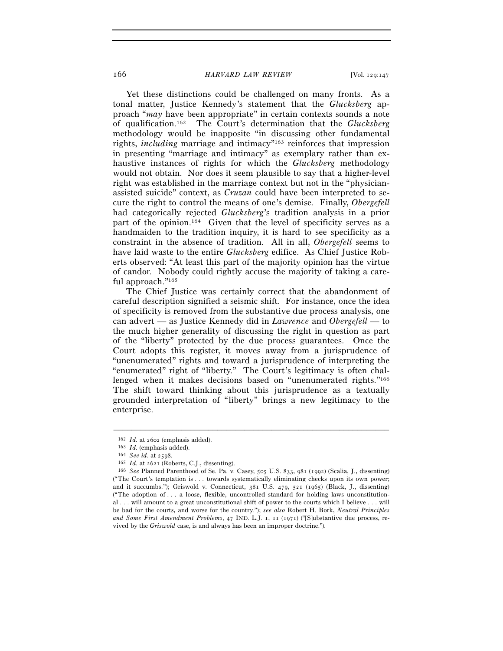Yet these distinctions could be challenged on many fronts. As a tonal matter, Justice Kennedy's statement that the *Glucksberg* approach "*may* have been appropriate" in certain contexts sounds a note of qualification.162 The Court's determination that the *Glucksberg* methodology would be inapposite "in discussing other fundamental rights, *including* marriage and intimacy"163 reinforces that impression in presenting "marriage and intimacy" as exemplary rather than exhaustive instances of rights for which the *Glucksberg* methodology would not obtain. Nor does it seem plausible to say that a higher-level right was established in the marriage context but not in the "physicianassisted suicide" context, as *Cruzan* could have been interpreted to secure the right to control the means of one's demise. Finally, *Obergefell* had categorically rejected *Glucksberg*'s tradition analysis in a prior part of the opinion.164 Given that the level of specificity serves as a handmaiden to the tradition inquiry, it is hard to see specificity as a constraint in the absence of tradition. All in all, *Obergefell* seems to have laid waste to the entire *Glucksberg* edifice. As Chief Justice Roberts observed: "At least this part of the majority opinion has the virtue of candor. Nobody could rightly accuse the majority of taking a careful approach."165

The Chief Justice was certainly correct that the abandonment of careful description signified a seismic shift. For instance, once the idea of specificity is removed from the substantive due process analysis, one can advert — as Justice Kennedy did in *Lawrence* and *Obergefell* — to the much higher generality of discussing the right in question as part of the "liberty" protected by the due process guarantees. Once the Court adopts this register, it moves away from a jurisprudence of "unenumerated" rights and toward a jurisprudence of interpreting the "enumerated" right of "liberty." The Court's legitimacy is often challenged when it makes decisions based on "unenumerated rights."<sup>166</sup> The shift toward thinking about this jurisprudence as a textually grounded interpretation of "liberty" brings a new legitimacy to the enterprise.

<sup>&</sup>lt;sup>162</sup> *Id.* at 2602 (emphasis added).<br>
<sup>163</sup> *Id.* (emphasis added).<br>
<sup>164</sup> *See id.* at 2598.<br>
<sup>165</sup> *Id.* at 2621 (Roberts, C.J., dissenting).<br>
<sup>166</sup> *See* Planned Parenthood of Se. Pa. v. Casey, 505 U.S. 833, 981 (1992 ("The Court's temptation is . . . towards systematically eliminating checks upon its own power; and it succumbs."); Griswold v. Connecticut, 381 U.S. 479, 521 (1965) (Black, J., dissenting) ("The adoption of . . . a loose, flexible, uncontrolled standard for holding laws unconstitutional . . . will amount to a great unconstitutional shift of power to the courts which I believe . . . will be bad for the courts, and worse for the country."); *see also* Robert H. Bork, *Neutral Principles and Some First Amendment Problems*, 47 IND. L.J. 1, 11 (1971) ("[S]ubstantive due process, revived by the *Griswold* case, is and always has been an improper doctrine.").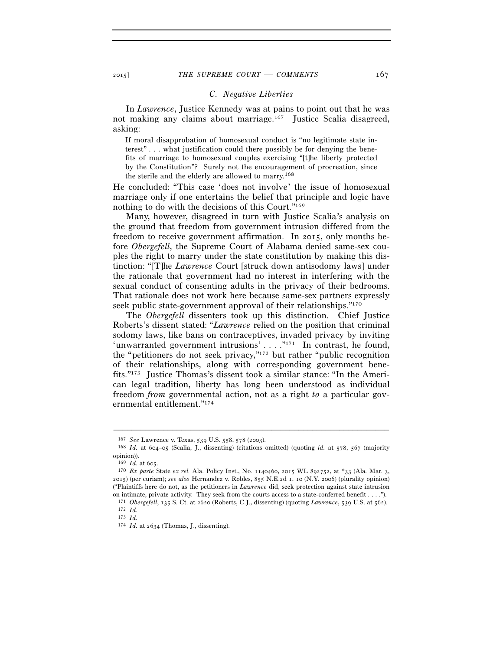# *C. Negative Liberties*

In *Lawrence*, Justice Kennedy was at pains to point out that he was not making any claims about marriage.<sup>167</sup> Justice Scalia disagreed, asking:

If moral disapprobation of homosexual conduct is "no legitimate state interest" . . . what justification could there possibly be for denying the benefits of marriage to homosexual couples exercising "[t]he liberty protected by the Constitution"? Surely not the encouragement of procreation, since the sterile and the elderly are allowed to marry.168

He concluded: "This case 'does not involve' the issue of homosexual marriage only if one entertains the belief that principle and logic have nothing to do with the decisions of this Court."169

Many, however, disagreed in turn with Justice Scalia's analysis on the ground that freedom from government intrusion differed from the freedom to receive government affirmation. In 2015, only months before *Obergefell*, the Supreme Court of Alabama denied same-sex couples the right to marry under the state constitution by making this distinction: "[T]he *Lawrence* Court [struck down antisodomy laws] under the rationale that government had no interest in interfering with the sexual conduct of consenting adults in the privacy of their bedrooms. That rationale does not work here because same-sex partners expressly seek public state-government approval of their relationships."<sup>170</sup>

The *Obergefell* dissenters took up this distinction. Chief Justice Roberts's dissent stated: "*Lawrence* relied on the position that criminal sodomy laws, like bans on contraceptives, invaded privacy by inviting 'unwarranted government intrusions' . . . . "171 In contrast, he found, the "petitioners do not seek privacy,"172 but rather "public recognition of their relationships, along with corresponding government benefits."173 Justice Thomas's dissent took a similar stance: "In the American legal tradition, liberty has long been understood as individual freedom *from* governmental action, not as a right *to* a particular governmental entitlement."174

<sup>167</sup> *See* Lawrence v. Texas, 539 U.S. 558, 578 (2003). 168 *Id.* at 604–05 (Scalia, J., dissenting) (citations omitted) (quoting *id.* at 578, 567 (majority opinion)).<br> $169$  *Id.* at 605.

<sup>170</sup> *Ex parte* State *ex rel.* Ala. Policy Inst., No. 1140460, 2015 WL 892752, at \*33 (Ala. Mar. 3, 2015) (per curiam); *see also* Hernandez v. Robles, 855 N.E.2d 1, 10 (N.Y. 2006) (plurality opinion) ("Plaintiffs here do not, as the petitioners in *Lawrence* did, seek protection against state intrusion on intimate, private activity. They seek from the courts access to a state-conferred benefit . . . .").

 $^{171}$  *Obergefell*, 135 S. Ct. at 2620 (Roberts, C.J., dissenting) (quoting *Lawrence*, 539 U.S. at 562).  $^{172}$  *Id.*<br>173 *Id* 

<sup>174</sup> *Id.* at 2634 (Thomas, J., dissenting).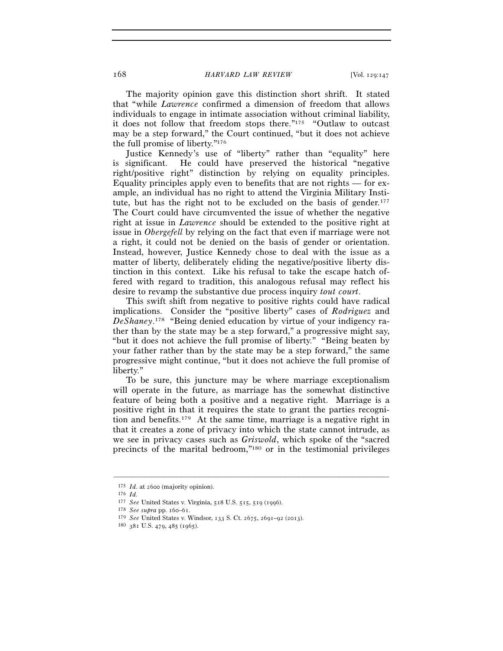The majority opinion gave this distinction short shrift. It stated that "while *Lawrence* confirmed a dimension of freedom that allows individuals to engage in intimate association without criminal liability, it does not follow that freedom stops there."175 "Outlaw to outcast may be a step forward," the Court continued, "but it does not achieve the full promise of liberty."176

Justice Kennedy's use of "liberty" rather than "equality" here is significant. He could have preserved the historical "negative right/positive right" distinction by relying on equality principles. Equality principles apply even to benefits that are not rights — for example, an individual has no right to attend the Virginia Military Institute, but has the right not to be excluded on the basis of gender.<sup>177</sup> The Court could have circumvented the issue of whether the negative right at issue in *Lawrence* should be extended to the positive right at issue in *Obergefell* by relying on the fact that even if marriage were not a right, it could not be denied on the basis of gender or orientation. Instead, however, Justice Kennedy chose to deal with the issue as a matter of liberty, deliberately eliding the negative/positive liberty distinction in this context. Like his refusal to take the escape hatch offered with regard to tradition, this analogous refusal may reflect his desire to revamp the substantive due process inquiry *tout court*.

This swift shift from negative to positive rights could have radical implications. Consider the "positive liberty" cases of *Rodriguez* and *DeShaney*. 178 "Being denied education by virtue of your indigency rather than by the state may be a step forward," a progressive might say, "but it does not achieve the full promise of liberty." "Being beaten by your father rather than by the state may be a step forward," the same progressive might continue, "but it does not achieve the full promise of liberty."

To be sure, this juncture may be where marriage exceptionalism will operate in the future, as marriage has the somewhat distinctive feature of being both a positive and a negative right. Marriage is a positive right in that it requires the state to grant the parties recognition and benefits.179 At the same time, marriage is a negative right in that it creates a zone of privacy into which the state cannot intrude, as we see in privacy cases such as *Griswold*, which spoke of the "sacred precincts of the marital bedroom,"180 or in the testimonial privileges

<sup>175</sup> *Id.* at 2600 (majority opinion).<br>
176 *Id.*<br>
177 *See* United States v. Virginia, 518 U.S. 515, 519 (1996).<br>
178 *See supra* pp. 160–61.<br>
179 *See* United States v. Windsor, 133 S. Ct. 2675, 2691–92 (2013).<br>
180 381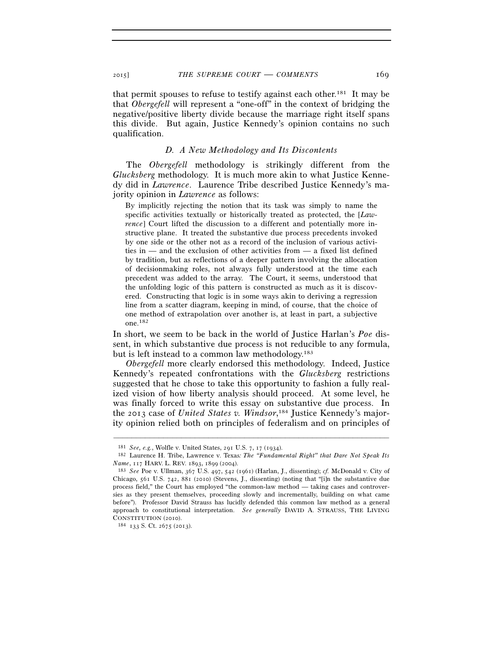that permit spouses to refuse to testify against each other.181 It may be that *Obergefell* will represent a "one-off" in the context of bridging the negative/positive liberty divide because the marriage right itself spans this divide. But again, Justice Kennedy's opinion contains no such qualification.

# *D. A New Methodology and Its Discontents*

The *Obergefell* methodology is strikingly different from the *Glucksberg* methodology. It is much more akin to what Justice Kennedy did in *Lawrence*. Laurence Tribe described Justice Kennedy's majority opinion in *Lawrence* as follows:

By implicitly rejecting the notion that its task was simply to name the specific activities textually or historically treated as protected, the [*Lawrence*] Court lifted the discussion to a different and potentially more instructive plane. It treated the substantive due process precedents invoked by one side or the other not as a record of the inclusion of various activities in — and the exclusion of other activities from — a fixed list defined by tradition, but as reflections of a deeper pattern involving the allocation of decisionmaking roles, not always fully understood at the time each precedent was added to the array. The Court, it seems, understood that the unfolding logic of this pattern is constructed as much as it is discovered. Constructing that logic is in some ways akin to deriving a regression line from a scatter diagram, keeping in mind, of course, that the choice of one method of extrapolation over another is, at least in part, a subjective one.182

In short, we seem to be back in the world of Justice Harlan's *Poe* dissent, in which substantive due process is not reducible to any formula, but is left instead to a common law methodology.183

*Obergefell* more clearly endorsed this methodology. Indeed, Justice Kennedy's repeated confrontations with the *Glucksberg* restrictions suggested that he chose to take this opportunity to fashion a fully realized vision of how liberty analysis should proceed. At some level, he was finally forced to write this essay on substantive due process. In the 2013 case of *United States v. Windsor*, 184 Justice Kennedy's majority opinion relied both on principles of federalism and on principles of

<sup>181</sup> *See, e.g.*, Wolfle v. United States, 291 U.S. 7, 17 (1934). 182 Laurence H. Tribe, Lawrence v. Texas*: The "Fundamental Right" that Dare Not Speak Its Name*, 117 HARV. L. REV. 1893, 1899 (2004).<br><sup>183</sup> *See* Poe v. Ullman, 367 U.S. 497, 542 (1961) (Harlan, J., dissenting); *cf.* McDonald v. City of

Chicago, 561 U.S. 742, 881 (2010) (Stevens, J., dissenting) (noting that "[i]n the substantive due process field," the Court has employed "the common-law method — taking cases and controversies as they present themselves, proceeding slowly and incrementally, building on what came before"). Professor David Strauss has lucidly defended this common law method as a general approach to constitutional interpretation. *See generally* DAVID A. STRAUSS, THE LIVING CONSTITUTION (2010). 184 <sup>133</sup> S. Ct. 2675 (2013).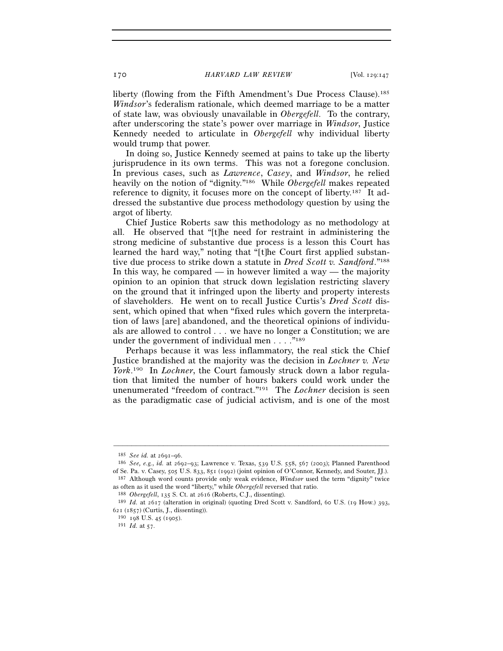liberty (flowing from the Fifth Amendment's Due Process Clause).<sup>185</sup> *Windsor*'s federalism rationale, which deemed marriage to be a matter of state law, was obviously unavailable in *Obergefell*. To the contrary, after underscoring the state's power over marriage in *Windsor*, Justice Kennedy needed to articulate in *Obergefell* why individual liberty would trump that power.

In doing so, Justice Kennedy seemed at pains to take up the liberty jurisprudence in its own terms. This was not a foregone conclusion. In previous cases, such as *Lawrence*, *Casey*, and *Windsor*, he relied heavily on the notion of "dignity."186 While *Obergefell* makes repeated reference to dignity, it focuses more on the concept of liberty.187 It addressed the substantive due process methodology question by using the argot of liberty.

Chief Justice Roberts saw this methodology as no methodology at all. He observed that "[t]he need for restraint in administering the strong medicine of substantive due process is a lesson this Court has learned the hard way," noting that "[t]he Court first applied substantive due process to strike down a statute in *Dred Scott v. Sandford*."188 In this way, he compared — in however limited a way — the majority opinion to an opinion that struck down legislation restricting slavery on the ground that it infringed upon the liberty and property interests of slaveholders. He went on to recall Justice Curtis's *Dred Scott* dissent, which opined that when "fixed rules which govern the interpretation of laws [are] abandoned, and the theoretical opinions of individuals are allowed to control . . . we have no longer a Constitution; we are under the government of individual men . . . . "<sup>189</sup>

Perhaps because it was less inflammatory, the real stick the Chief Justice brandished at the majority was the decision in *Lochner v. New York*. 190 In *Lochner*, the Court famously struck down a labor regulation that limited the number of hours bakers could work under the unenumerated "freedom of contract."191 The *Lochner* decision is seen as the paradigmatic case of judicial activism, and is one of the most

<sup>185</sup> *See id.* at 2691–96. 186 *See, e.g.*, *id.* at 2692–93; Lawrence v. Texas, 539 U.S. 558, 567 (2003); Planned Parenthood of Se. Pa. v. Casey, 505 U.S. 833, 851 (1992) (joint opinion of O'Connor, Kennedy, and Souter, JJ.). 187 Although word counts provide only weak evidence, *Windsor* used the term "dignity" twice

<sup>&</sup>lt;sup>188</sup> *Obergefell*, 135 S. Ct. at 2616 (Roberts, C.J., dissenting).<br><sup>189</sup> *Id.* at 2617 (alteration in original) (quoting Dred Scott v. Sandford, 60 U.S. (19 How.) 393, 621 (1857) (Curtis, I., dissenting)).

<sup>190</sup>  $\,$  198 U.S. 45 (1905). 191 *Id.* at 57.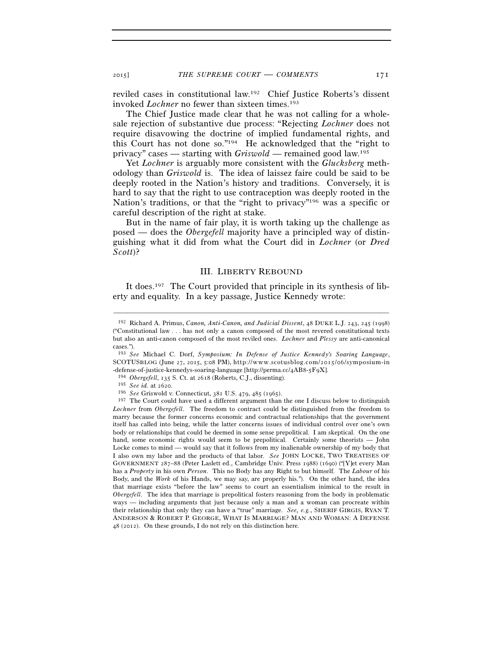reviled cases in constitutional law.192 Chief Justice Roberts's dissent invoked *Lochner* no fewer than sixteen times.<sup>193</sup>

The Chief Justice made clear that he was not calling for a wholesale rejection of substantive due process: "Rejecting *Lochner* does not require disavowing the doctrine of implied fundamental rights, and this Court has not done so."194 He acknowledged that the "right to privacy" cases — starting with *Griswold* — remained good law.195

Yet *Lochner* is arguably more consistent with the *Glucksberg* methodology than *Griswold* is. The idea of laissez faire could be said to be deeply rooted in the Nation's history and traditions. Conversely, it is hard to say that the right to use contraception was deeply rooted in the Nation's traditions, or that the "right to privacy"196 was a specific or careful description of the right at stake.

But in the name of fair play, it is worth taking up the challenge as posed — does the *Obergefell* majority have a principled way of distinguishing what it did from what the Court did in *Lochner* (or *Dred Scott*)?

### III. LIBERTY REBOUND

It does.<sup>197</sup> The Court provided that principle in its synthesis of liberty and equality. In a key passage, Justice Kennedy wrote:

<sup>192</sup> Richard A. Primus, *Canon, Anti-Canon, and Judicial Dissent*, 48 DUKE L.J. 243, 245 (1998) ("Constitutional law . . . has not only a canon composed of the most revered constitutional texts but also an anti-canon composed of the most reviled ones. *Lochner* and *Plessy* are anti-canonical cases.").

<sup>193</sup> *See* Michael C. Dorf, *Symposium: In Defense of Justice Kennedy's Soaring Language*, SCOTUSBLOG (June 27, 2015, 5:08 PM), http://www.scotusblog.com/2015/06/symposium-in -defense-of-justice-kennedys-soaring-language [http://perma.cc/4AB8-5F9X]. 194 *Obergefell*, 135 S. Ct. at 2618 (Roberts, C.J., dissenting).

<sup>&</sup>lt;sup>196</sup> See Griswold v. Connecticut, 381 U.S. 479, 485 (1965).

 $197$  The Court could have used a different argument than the one I discuss below to distinguish *Lochner* from *Obergefell*. The freedom to contract could be distinguished from the freedom to marry because the former concerns economic and contractual relationships that the government itself has called into being, while the latter concerns issues of individual control over one's own body or relationships that could be deemed in some sense prepolitical. I am skeptical. On the one hand, some economic rights would seem to be prepolitical. Certainly some theorists — John Locke comes to mind — would say that it follows from my inalienable ownership of my body that I also own my labor and the products of that labor. *See* JOHN LOCKE, TWO TREATISES OF GOVERNMENT 287–88 (Peter Laslett ed., Cambridge Univ. Press 1988) (1690) ("[Y]et every Man has a *Property* in his own *Person*. This no Body has any Right to but himself. The *Labour* of his Body, and the *Work* of his Hands, we may say, are properly his."). On the other hand, the idea that marriage exists "before the law" seems to court an essentialism inimical to the result in *Obergefell*. The idea that marriage is prepolitical fosters reasoning from the body in problematic ways — including arguments that just because only a man and a woman can procreate within their relationship that only they can have a "true" marriage. *See, e.g.*, SHERIF GIRGIS, RYAN T. ANDERSON & ROBERT P. GEORGE, WHAT IS MARRIAGE? MAN AND WOMAN: A DEFENSE 48 (2012). On these grounds, I do not rely on this distinction here.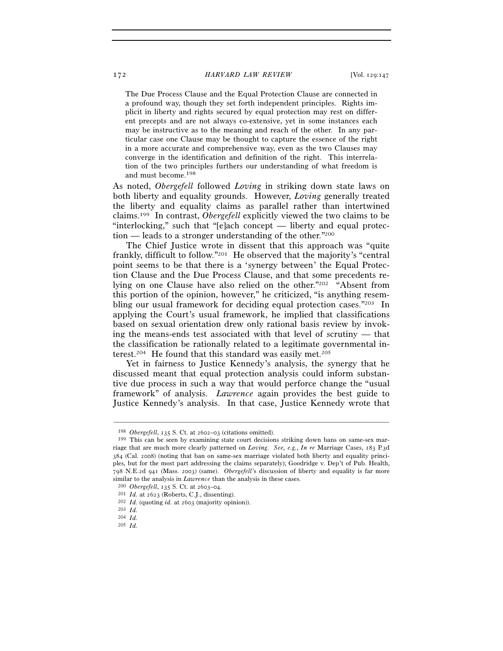The Due Process Clause and the Equal Protection Clause are connected in a profound way, though they set forth independent principles. Rights implicit in liberty and rights secured by equal protection may rest on different precepts and are not always co-extensive, yet in some instances each may be instructive as to the meaning and reach of the other. In any particular case one Clause may be thought to capture the essence of the right in a more accurate and comprehensive way, even as the two Clauses may converge in the identification and definition of the right. This interrelation of the two principles furthers our understanding of what freedom is and must become.198

As noted, *Obergefell* followed *Loving* in striking down state laws on both liberty and equality grounds. However, *Loving* generally treated the liberty and equality claims as parallel rather than intertwined claims.199 In contrast, *Obergefell* explicitly viewed the two claims to be "interlocking," such that "[e]ach concept — liberty and equal protection — leads to a stronger understanding of the other."200

The Chief Justice wrote in dissent that this approach was "quite frankly, difficult to follow."201 He observed that the majority's "central point seems to be that there is a 'synergy between' the Equal Protection Clause and the Due Process Clause, and that some precedents relying on one Clause have also relied on the other."202 "Absent from this portion of the opinion, however," he criticized, "is anything resembling our usual framework for deciding equal protection cases."203 In applying the Court's usual framework, he implied that classifications based on sexual orientation drew only rational basis review by invoking the means-ends test associated with that level of scrutiny — that the classification be rationally related to a legitimate governmental interest.<sup>204</sup> He found that this standard was easily met.<sup>205</sup>

Yet in fairness to Justice Kennedy's analysis, the synergy that he discussed meant that equal protection analysis could inform substantive due process in such a way that would perforce change the "usual framework" of analysis. *Lawrence* again provides the best guide to Justice Kennedy's analysis. In that case, Justice Kennedy wrote that

<sup>&</sup>lt;sup>198</sup> *Obergefell*, 135 S. Ct. at 2602–03 (citations omitted). <sup>199</sup> This can be seen by examining state court decisions striking down bans on same-sex marriage that are much more clearly patterned on *Loving*. *See, e.g.*, *In re* Marriage Cases, 183 P.3d 384 (Cal. 2008) (noting that ban on same-sex marriage violated both liberty and equality principles, but for the most part addressing the claims separately); Goodridge v. Dep't of Pub. Health, 798 N.E.2d 941 (Mass. 2003) (same). *Obergefell*'s discussion of liberty and equality is far more

<sup>&</sup>lt;sup>200</sup> *Obergefell*, 135 S. Ct. at 2603–04.<br><sup>201</sup> *Id.* at 2623 (Roberts, C.J., dissenting).<br><sup>202</sup> *Id.* (quoting *id.* at 2603 (majority opinion)).<br><sup>203</sup> *Id.*<br><sup>204</sup> *Id.* 

<sup>205</sup> *Id.*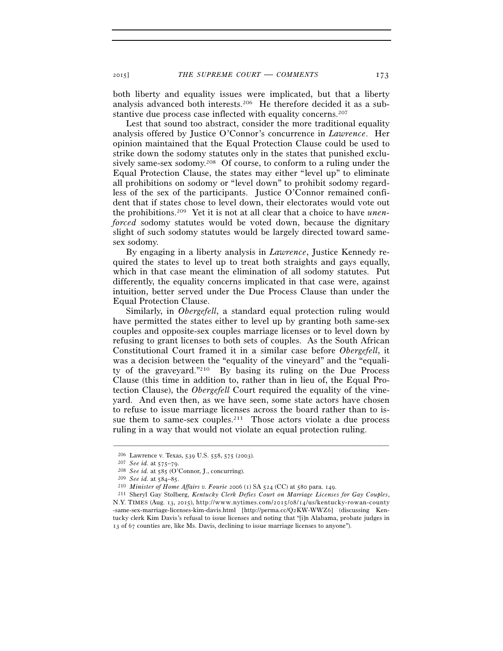2015] *THE SUPREME COURT* — *COMMENTS* 173

both liberty and equality issues were implicated, but that a liberty analysis advanced both interests.206 He therefore decided it as a substantive due process case inflected with equality concerns.<sup>207</sup>

Lest that sound too abstract, consider the more traditional equality analysis offered by Justice O'Connor's concurrence in *Lawrence*. Her opinion maintained that the Equal Protection Clause could be used to strike down the sodomy statutes only in the states that punished exclusively same-sex sodomy.<sup>208</sup> Of course, to conform to a ruling under the Equal Protection Clause, the states may either "level up" to eliminate all prohibitions on sodomy or "level down" to prohibit sodomy regardless of the sex of the participants. Justice O'Connor remained confident that if states chose to level down, their electorates would vote out the prohibitions.209 Yet it is not at all clear that a choice to have *unenforced* sodomy statutes would be voted down, because the dignitary slight of such sodomy statutes would be largely directed toward samesex sodomy.

By engaging in a liberty analysis in *Lawrence*, Justice Kennedy required the states to level up to treat both straights and gays equally, which in that case meant the elimination of all sodomy statutes. Put differently, the equality concerns implicated in that case were, against intuition, better served under the Due Process Clause than under the Equal Protection Clause.

Similarly, in *Obergefell*, a standard equal protection ruling would have permitted the states either to level up by granting both same-sex couples and opposite-sex couples marriage licenses or to level down by refusing to grant licenses to both sets of couples. As the South African Constitutional Court framed it in a similar case before *Obergefell*, it was a decision between the "equality of the vineyard" and the "equality of the graveyard."210 By basing its ruling on the Due Process Clause (this time in addition to, rather than in lieu of, the Equal Protection Clause), the *Obergefell* Court required the equality of the vineyard. And even then, as we have seen, some state actors have chosen to refuse to issue marriage licenses across the board rather than to issue them to same-sex couples.<sup>211</sup> Those actors violate a due process ruling in a way that would not violate an equal protection ruling.

<sup>&</sup>lt;sup>206</sup> Lawrence v. Texas, 539 U.S. 558, 575 (2003).<br>
<sup>207</sup> *See id.* at 575–79.<br>
<sup>208</sup> *See id.* at 585 (O'Connor, J., concurring).<br>
<sup>209</sup> *See id.* at 584–85.<br>
<sup>210</sup> *Minister of Home Affairs v. Fourie* 2006 (1) SA 524 (C N.Y. TIMES (Aug. 13, 2015), http://www.nytimes.com/2015/08/14/us/kentucky-rowan-county -same-sex-marriage-licenses-kim-davis.html [http://perma.cc/Q2KW-WWZ6] (discussing Kentucky clerk Kim Davis's refusal to issue licenses and noting that "[i]n Alabama, probate judges in 13 of 67 counties are, like Ms. Davis, declining to issue marriage licenses to anyone").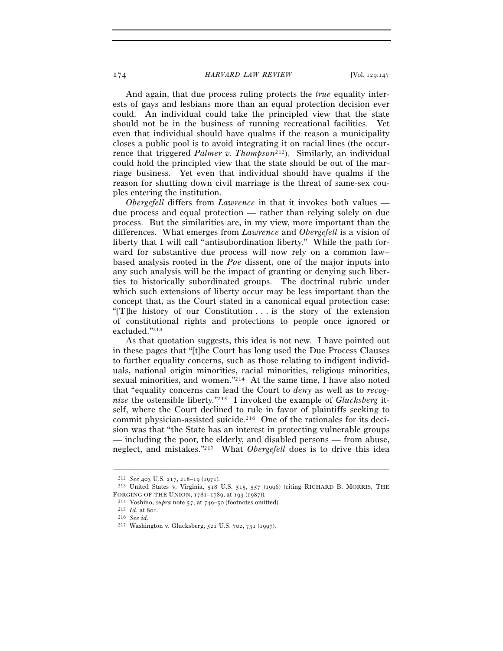And again, that due process ruling protects the *true* equality interests of gays and lesbians more than an equal protection decision ever could. An individual could take the principled view that the state should not be in the business of running recreational facilities. Yet even that individual should have qualms if the reason a municipality closes a public pool is to avoid integrating it on racial lines (the occurrence that triggered *Palmer v. Thompson*212). Similarly, an individual could hold the principled view that the state should be out of the marriage business. Yet even that individual should have qualms if the reason for shutting down civil marriage is the threat of same-sex couples entering the institution.

*Obergefell* differs from *Lawrence* in that it invokes both values due process and equal protection — rather than relying solely on due process. But the similarities are, in my view, more important than the differences. What emerges from *Lawrence* and *Obergefell* is a vision of liberty that I will call "antisubordination liberty." While the path forward for substantive due process will now rely on a common law– based analysis rooted in the *Poe* dissent, one of the major inputs into any such analysis will be the impact of granting or denying such liberties to historically subordinated groups. The doctrinal rubric under which such extensions of liberty occur may be less important than the concept that, as the Court stated in a canonical equal protection case: "[T]he history of our Constitution . . . is the story of the extension of constitutional rights and protections to people once ignored or excluded."213

As that quotation suggests, this idea is not new. I have pointed out in these pages that "[t]he Court has long used the Due Process Clauses to further equality concerns, such as those relating to indigent individuals, national origin minorities, racial minorities, religious minorities, sexual minorities, and women."214 At the same time, I have also noted that "equality concerns can lead the Court to *deny* as well as to *recognize* the ostensible liberty."215 I invoked the example of *Glucksberg* itself, where the Court declined to rule in favor of plaintiffs seeking to commit physician-assisted suicide.216 One of the rationales for its decision was that "the State has an interest in protecting vulnerable groups — including the poor, the elderly, and disabled persons — from abuse, neglect, and mistakes."217 What *Obergefell* does is to drive this idea

<sup>212</sup> *See* <sup>403</sup> U.S. 217, 218–19 (1971). 213 United States v. Virginia, 518 U.S. 515, 557 (1996) (citing RICHARD B. MORRIS, THE FORGING OF THE UNION, <sup>1781</sup>–1789, at 193 (1987)). 214 Yoshino, *supra* note 57, at 749–50 (footnotes omitted). 215 *Id.* at 801. 216 *See id.*

<sup>217</sup> Washington v. Glucksberg, 521 U.S. 702, 731 (1997).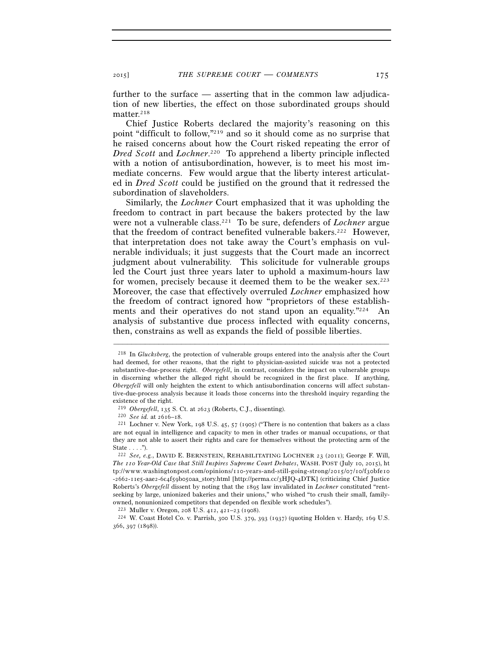further to the surface — asserting that in the common law adjudication of new liberties, the effect on those subordinated groups should matter.<sup>218</sup>

Chief Justice Roberts declared the majority's reasoning on this point "difficult to follow,"219 and so it should come as no surprise that he raised concerns about how the Court risked repeating the error of *Dred Scott* and *Lochner*. 220 To apprehend a liberty principle inflected with a notion of antisubordination, however, is to meet his most immediate concerns. Few would argue that the liberty interest articulated in *Dred Scott* could be justified on the ground that it redressed the subordination of slaveholders.

Similarly, the *Lochner* Court emphasized that it was upholding the freedom to contract in part because the bakers protected by the law were not a vulnerable class.221 To be sure, defenders of *Lochner* argue that the freedom of contract benefited vulnerable bakers.<sup>222</sup> However, that interpretation does not take away the Court's emphasis on vulnerable individuals; it just suggests that the Court made an incorrect judgment about vulnerability. This solicitude for vulnerable groups led the Court just three years later to uphold a maximum-hours law for women, precisely because it deemed them to be the weaker sex.223 Moreover, the case that effectively overruled *Lochner* emphasized how the freedom of contract ignored how "proprietors of these establishments and their operatives do not stand upon an equality."<sup>224</sup> An analysis of substantive due process inflected with equality concerns, then, constrains as well as expands the field of possible liberties.

<sup>218</sup> In *Glucksberg*, the protection of vulnerable groups entered into the analysis after the Court had deemed, for other reasons, that the right to physician-assisted suicide was not a protected substantive-due-process right. *Obergefell*, in contrast, considers the impact on vulnerable groups in discerning whether the alleged right should be recognized in the first place. If anything, *Obergefell* will only heighten the extent to which antisubordination concerns will affect substantive-due-process analysis because it loads those concerns into the threshold inquiry regarding the existence of the right.<br> $^{219}$  Obergefell, 135 S. Ct. at 2623 (Roberts, C.J., dissenting).

<sup>&</sup>lt;sup>220</sup> *See id.* at 2616–18. Chergefeld, C.S. 45, 57 (1905) ("There is no contention that bakers as a class <sup>221</sup> Lochner v. New York, 198 U.S. 45, 57 (1905) ("There is no contention that bakers as a class are not equal in intelligence and capacity to men in other trades or manual occupations, or that they are not able to assert their rights and care for themselves without the protecting arm of the State . . . .").

<sup>222</sup> *See, e.g.*, DAVID E. BERNSTEIN, REHABILITATING LOCHNER 23 (2011); George F. Will, *The 110 Year-Old Case that Still Inspires Supreme Court Debates*, WASH. POST (July 10, 2015), h t  $\text{tv://www.washingtonpost.com/optimions/110-years-and-still-going-strong/2015/07/10/fsobfero}$ -2662-11e5-aae2-6c4f59b050aa\_story.html [http://perma.cc/3HJQ-4DTK] (criticizing Chief Justice Roberts's *Obergefell* dissent by noting that the 1895 law invalidated in *Lochner* constituted "rentseeking by large, unionized bakeries and their unions," who wished "to crush their small, familyowned, nonunionized competitors that depended on flexible work schedules").<br> $^{223}$  Muller v. Oregon, 208 U.S. 412, 421–23 (1908).

<sup>&</sup>lt;sup>224</sup> W. Coast Hotel Co. v. Parrish, 300 U.S. 379, 393 (1937) (quoting Holden v. Hardy, 169 U.S. 366, 397 (1898)).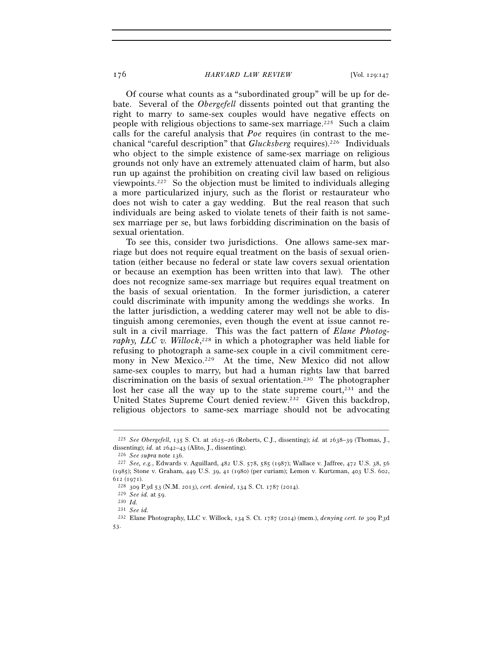Of course what counts as a "subordinated group" will be up for debate. Several of the *Obergefell* dissents pointed out that granting the right to marry to same-sex couples would have negative effects on people with religious objections to same-sex marriage.225 Such a claim calls for the careful analysis that *Poe* requires (in contrast to the mechanical "careful description" that *Glucksberg* requires).226 Individuals who object to the simple existence of same-sex marriage on religious grounds not only have an extremely attenuated claim of harm, but also run up against the prohibition on creating civil law based on religious viewpoints.227 So the objection must be limited to individuals alleging a more particularized injury, such as the florist or restaurateur who does not wish to cater a gay wedding. But the real reason that such individuals are being asked to violate tenets of their faith is not samesex marriage per se, but laws forbidding discrimination on the basis of sexual orientation.

To see this, consider two jurisdictions. One allows same-sex marriage but does not require equal treatment on the basis of sexual orientation (either because no federal or state law covers sexual orientation or because an exemption has been written into that law). The other does not recognize same-sex marriage but requires equal treatment on the basis of sexual orientation. In the former jurisdiction, a caterer could discriminate with impunity among the weddings she works. In the latter jurisdiction, a wedding caterer may well not be able to distinguish among ceremonies, even though the event at issue cannot result in a civil marriage. This was the fact pattern of *Elane Photography, LLC v. Willock*, 228 in which a photographer was held liable for refusing to photograph a same-sex couple in a civil commitment ceremony in New Mexico.<sup>229</sup> At the time, New Mexico did not allow same-sex couples to marry, but had a human rights law that barred discrimination on the basis of sexual orientation.230 The photographer lost her case all the way up to the state supreme court, $231$  and the United States Supreme Court denied review.232 Given this backdrop, religious objectors to same-sex marriage should not be advocating

<sup>–––––––––––––––––––––––––––––––––––––––––––––––––––––––––––––</sup> 225 *See Obergefell*, 135 S. Ct. at 2625–26 (Roberts, C.J., dissenting); *id.* at 2638–39 (Thomas, J., dissenting); *id.* at 2642–43 (Alito, J., dissenting).<br><sup>226</sup> *See supra* note 136.<br><sup>227</sup> *See, e.g.*, Edwards v. Aguillard, 482 U.S. 578, 585 (1987); Wallace v. Jaffree, 472 U.S. 38, 56

<sup>(</sup>1985); Stone v. Graham, 449 U.S. 39, 41 (1980) (per curiam); Lemon v. Kurtzman, 403 U.S. 602, <sup>612</sup> (1971). 228 <sup>309</sup> P.3d 53 (N.M. 2013), *cert. denied*, 134 S. Ct. 1787 (2014). 229 *See id.* at 59. 230 *Id.*<sup>231</sup> *See id.*

<sup>232</sup> Elane Photography, LLC v. Willock, 134 S. Ct. 1787 (2014) (mem.), *denying cert. to* 309 P.3d 53.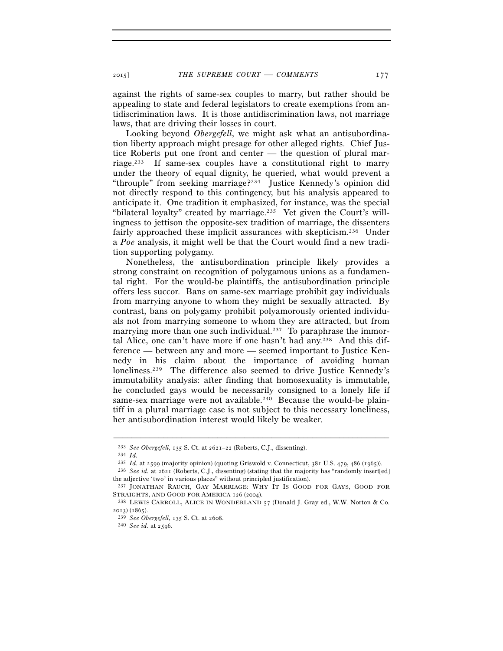against the rights of same-sex couples to marry, but rather should be appealing to state and federal legislators to create exemptions from antidiscrimination laws. It is those antidiscrimination laws, not marriage laws, that are driving their losses in court.

Looking beyond *Obergefell*, we might ask what an antisubordination liberty approach might presage for other alleged rights. Chief Justice Roberts put one front and center — the question of plural marriage.233 If same-sex couples have a constitutional right to marry under the theory of equal dignity, he queried, what would prevent a "throuple" from seeking marriage?234 Justice Kennedy's opinion did not directly respond to this contingency, but his analysis appeared to anticipate it. One tradition it emphasized, for instance, was the special "bilateral loyalty" created by marriage.235 Yet given the Court's willingness to jettison the opposite-sex tradition of marriage, the dissenters fairly approached these implicit assurances with skepticism.236 Under a *Poe* analysis, it might well be that the Court would find a new tradition supporting polygamy.

Nonetheless, the antisubordination principle likely provides a strong constraint on recognition of polygamous unions as a fundamental right. For the would-be plaintiffs, the antisubordination principle offers less succor. Bans on same-sex marriage prohibit gay individuals from marrying anyone to whom they might be sexually attracted. By contrast, bans on polygamy prohibit polyamorously oriented individuals not from marrying someone to whom they are attracted, but from marrying more than one such individual.<sup>237</sup> To paraphrase the immortal Alice, one can't have more if one hasn't had any.<sup>238</sup> And this difference — between any and more — seemed important to Justice Kennedy in his claim about the importance of avoiding human loneliness.239 The difference also seemed to drive Justice Kennedy's immutability analysis: after finding that homosexuality is immutable, he concluded gays would be necessarily consigned to a lonely life if same-sex marriage were not available.<sup>240</sup> Because the would-be plaintiff in a plural marriage case is not subject to this necessary loneliness, her antisubordination interest would likely be weaker.

<sup>233</sup> *See Obergefell*, 135 S. Ct. at 2621–22 (Roberts, C.J., dissenting). 234 *Id.*

<sup>&</sup>lt;sup>236</sup> See id. at 2621 (Roberts, C.J., dissenting) (stating that the majority has "randomly insert[ed] the adjective 'two' in various places" without principled justification).

<sup>237</sup> JONATHAN RAUCH, GAY MARRIAGE: WHY IT IS GOOD FOR GAYS, GOOD FOR STRAIGHTS, AND GOOD FOR AMERICA 126 (2004).<br><sup>238</sup> LEWIS CARROLL, ALICE IN WONDERLAND 57 (Donald J. Gray ed., W.W. Norton & Co.

<sup>2013</sup>) (1865). 239 *See Obergefell*, 135 S. Ct. at 2608. 240 *See id.* at 2596.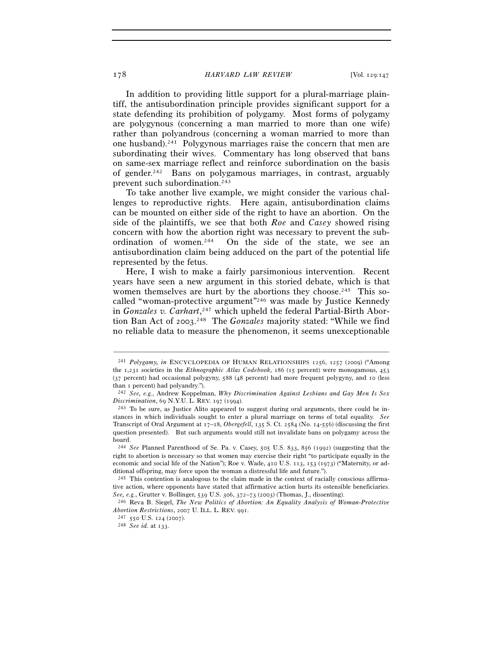In addition to providing little support for a plural-marriage plaintiff, the antisubordination principle provides significant support for a state defending its prohibition of polygamy. Most forms of polygamy are polygynous (concerning a man married to more than one wife) rather than polyandrous (concerning a woman married to more than one husband).241 Polygynous marriages raise the concern that men are subordinating their wives. Commentary has long observed that bans on same-sex marriage reflect and reinforce subordination on the basis of gender.242 Bans on polygamous marriages, in contrast, arguably prevent such subordination.243

To take another live example, we might consider the various challenges to reproductive rights. Here again, antisubordination claims can be mounted on either side of the right to have an abortion. On the side of the plaintiffs, we see that both *Roe* and *Casey* showed rising concern with how the abortion right was necessary to prevent the subordination of women.244 On the side of the state, we see an antisubordination claim being adduced on the part of the potential life represented by the fetus.

Here, I wish to make a fairly parsimonious intervention. Recent years have seen a new argument in this storied debate, which is that women themselves are hurt by the abortions they choose.<sup>245</sup> This socalled "woman-protective argument"246 was made by Justice Kennedy in *Gonzales v. Carhart*, 247 which upheld the federal Partial-Birth Abortion Ban Act of 2003. 248 The *Gonzales* majority stated: "While we find no reliable data to measure the phenomenon, it seems unexceptionable

<sup>&</sup>lt;sup>241</sup> Polygamy, in ENCYCLOPEDIA OF HUMAN RELATIONSHIPS 1256, 1257 (2009) ("Among the 1,231 societies in the *Ethnographic Atlas Codebook*, 186 (15 percent) were monogamous, 453 (37 percent) had occasional polygyny, 588 (48 percent) had more frequent polygyny, and 10 (less than 1 percent) had polyandry."). 242 *See, e.g.*, Andrew Koppelman, *Why Discrimination Against Lesbians and Gay Men Is Sex* 

*Discrimination*, 69 N.Y.U. L. REV. 197 (1994).<br><sup>243</sup> To be sure, as Justice Alito appeared to suggest during oral arguments, there could be in-

stances in which individuals sought to enter a plural marriage on terms of total equality. *See* Transcript of Oral Argument at 17–18, *Obergefell*, 135 S. Ct. 2584 (No. 14-556) (discussing the first question presented). But such arguments would still not invalidate bans on polygamy across the board.

<sup>244</sup> *See* Planned Parenthood of Se. Pa. v. Casey, 505 U.S. 833, 856 (1992) (suggesting that the right to abortion is necessary so that women may exercise their right "to participate equally in the economic and social life of the Nation"); Roe v. Wade, 410 U.S. 113, 153 (1973) ("Maternity, or additional offspring, may force upon the woman a distressful life and future.").

<sup>245</sup> This contention is analogous to the claim made in the context of racially conscious affirmative action, where opponents have stated that affirmative action hurts its ostensible beneficiaries. *See, e.g.*, Grutter v. Bollinger, 539 U.S. 306, 372–73 (2003) (Thomas, J., dissenting). 246 Reva B. Siegel, *The New Politics of Abortion: An Equality Analysis of Woman-Protective* 

*Abortion Restrictions*, 2007 U. ILL. L. REV. 991. 247 <sup>550</sup> U.S. 124 (2007). 248 *See id.* at 133.